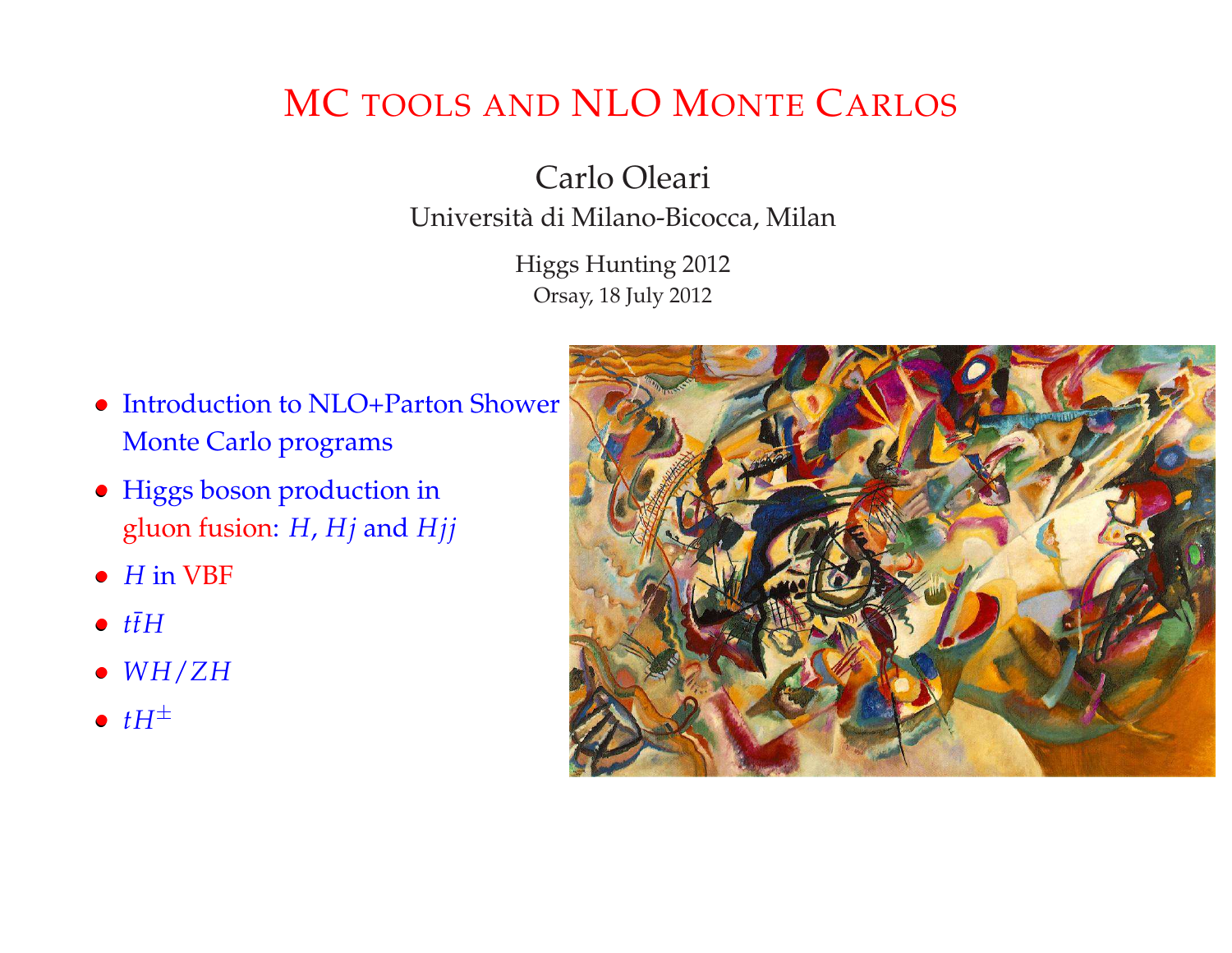# MC TOOLS AND NLO <sup>M</sup>ONTE <sup>C</sup>ARLOS

Carlo Oleari Universita di Milano-Bicocca, Milan `

> Higgs Hunting <sup>2012</sup> Orsay, <sup>18</sup> July <sup>2012</sup>

- Introduction to NLO+Parton Shower Monte Carlo programs
- Higgs boson production in<sup>g</sup>luon fusion: *<sup>H</sup>*, *Hj* and *Hjj*
- *<sup>H</sup>* in VBF
- $\bullet$   $t\bar{t}H$
- *WH*/*ZH*
- $\bullet$   $tH^{\pm}$

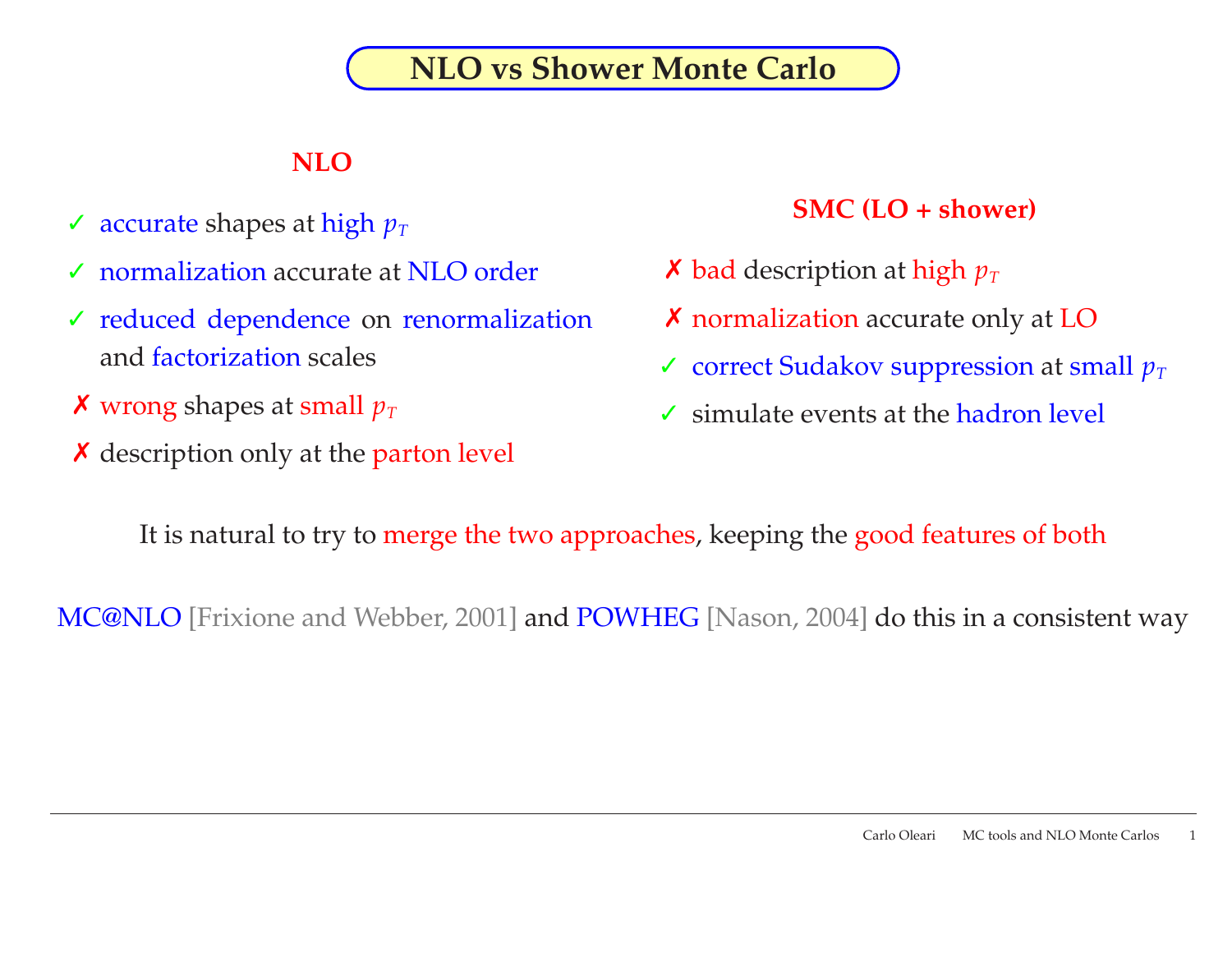### **NLO vs Shower Monte Carlo**

#### **NLO**

- $\checkmark$  accurate shapes at high  $p_T$
- ✓ normalization accurate at NLO order
- ✓ reduced dependence on renormalization and factorization scales
- $\boldsymbol{\mathsf{X}}$  wrong shapes at small  $p_{\scriptscriptstyle T}$
- $\boldsymbol{\times}$  description only at the parton level

#### **SMC (LO <sup>+</sup> shower)**

- $\boldsymbol{\mathsf{X}}$  bad description at high  $p_T$
- $\boldsymbol{\chi}$  normalization accurate only at LO
- $\checkmark$  correct Sudakov suppression at small  $p_T$
- $\checkmark$  simulate events at the hadron level

It is natural to try to <mark>merge the two approaches</mark>, keeping the good features of both

MC@NLO [Frixione and Webber, 2001] <mark>and POWHEG</mark> [Nason, 2004] <mark>do this in a consistent way</mark>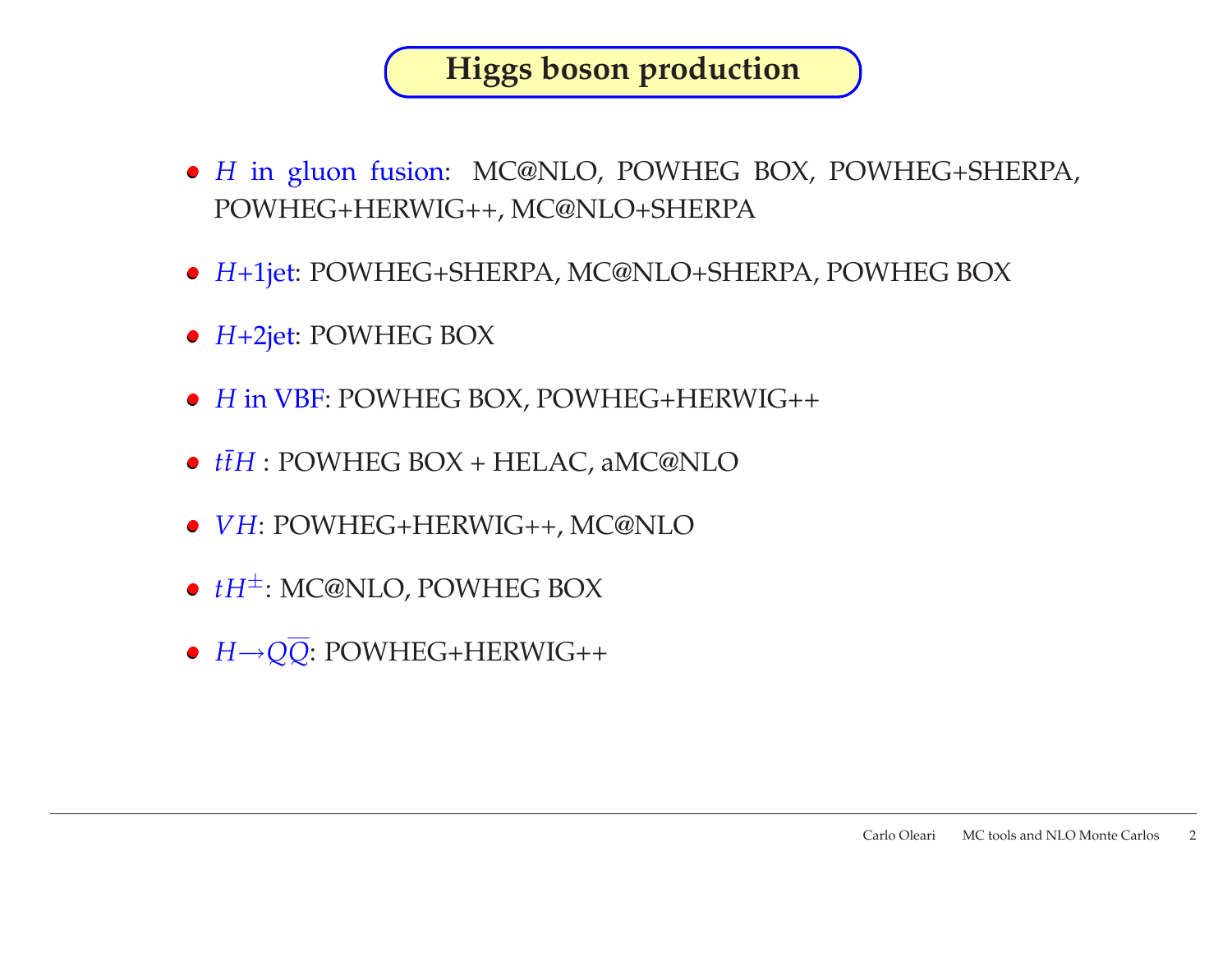### **Higgs boson production**

- *<sup>H</sup>* in <sup>g</sup>luon fusion: MC@NLO, POWHEG BOX, POWHEG+SHERPA, POWHEG+HERWIG++, MC@NLO+SHERPA
- *<sup>H</sup>*+1jet: POWHEG+SHERPA, MC@NLO+SHERPA, POWHEG BOX
- *<sup>H</sup>*+2jet: POWHEG BOX
- *<sup>H</sup>* in VBF: POWHEG BOX, POWHEG+HERWIG++
- *t* $\overline{t}H$  : POWHEG BOX + HELAC, aMC@NLO
- *VH*: POWHEG+HERWIG++, MC@NLO
- *tH*±: MC@NLO, POWHEG BOX
- *<sup>H</sup>*→*QQ*: POWHEG+HERWIG++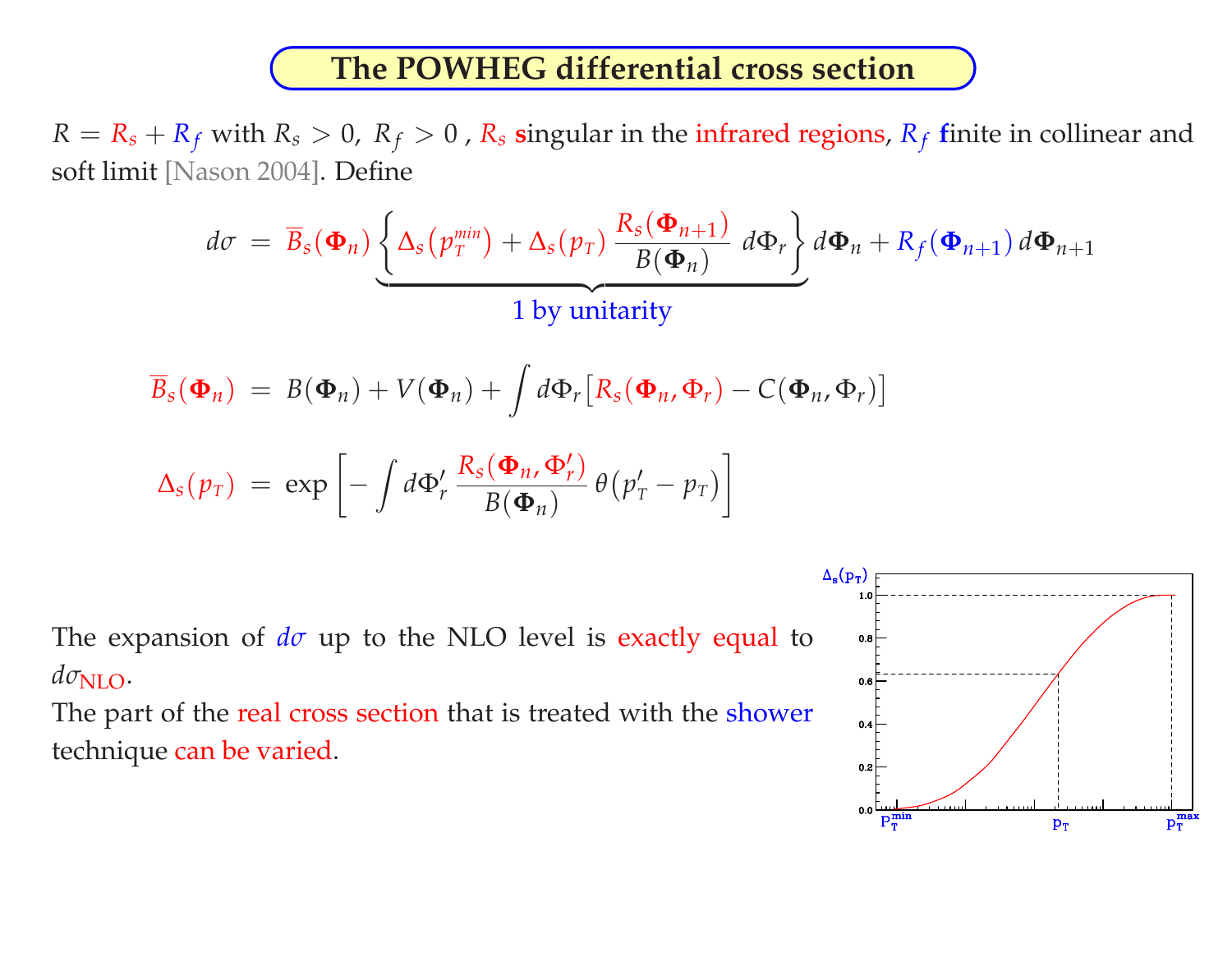### **The POWHEG differential cross section**

 $R = R_s + R_f$  with  $R_s > 0$ ,  $R_f > 0$  ,  $R_s$  singular in the infrared regions,  $R_f$  finite in collinear and soft limit [Nason 2004]. Define

$$
d\sigma = \overline{B}_s(\Phi_n) \left\{ \Delta_s(p_T^{\min}) + \Delta_s(p_T) \frac{R_s(\Phi_{n+1})}{B(\Phi_n)} d\Phi_r \right\} d\Phi_n + R_f(\Phi_{n+1}) d\Phi_{n+1}
$$
  
1 by unitarity

$$
\overline{B}_s(\Phi_n) = B(\Phi_n) + V(\Phi_n) + \int d\Phi_r \left[ R_s(\Phi_n, \Phi_r) - C(\Phi_n, \Phi_r) \right]
$$
  

$$
\Delta_s(p_T) = \exp \left[ - \int d\Phi'_r \frac{R_s(\Phi_n, \Phi'_r)}{B(\Phi_n)} \theta(p'_T - p_T) \right]
$$

The expansion of *dσ* up to the NLO level is exactly equa<sup>l</sup> to *dσ*NLO.

The part of the real cross section that is treated with the shower technique can be varied.

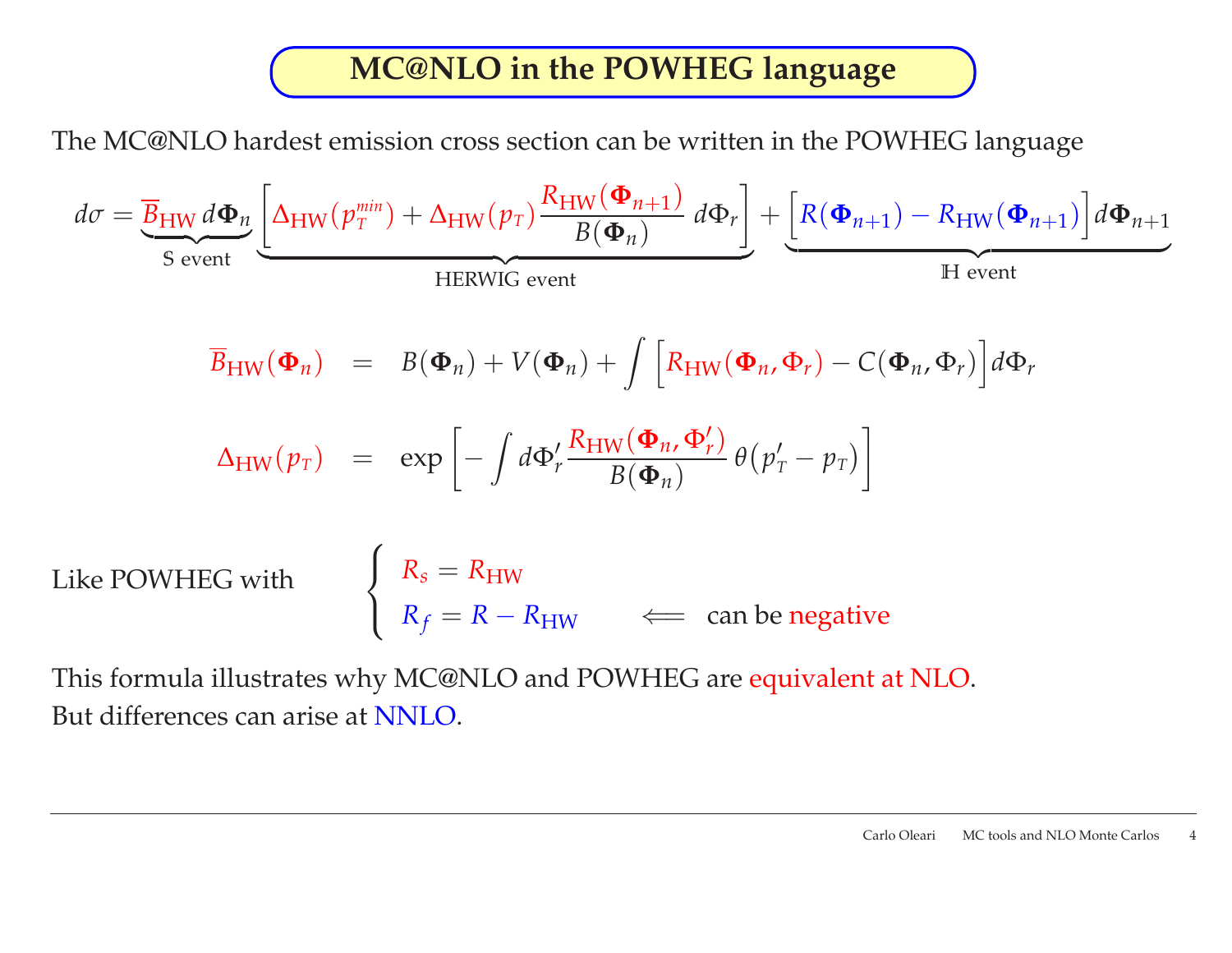### **MC@NLO in the POWHEG language**

The MC@NLO hardest emission cross section can be written in the POWHEG language

$$
d\sigma = \underbrace{\overline{B}_{HW} d\Phi_n}_{S \text{ event}} \underbrace{\left[\Delta_{HW}(p_T^{min}) + \Delta_{HW}(p_T) \frac{R_{HW}(\Phi_{n+1})}{B(\Phi_n)} d\Phi_r\right]}_{\text{HERWIG event}} + \underbrace{\left[R(\Phi_{n+1}) - R_{HW}(\Phi_{n+1})\right] d\Phi_{n+1}}_{H \text{ event}}
$$
\n
$$
\overline{B}_{HW}(\Phi_n) = B(\Phi_n) + V(\Phi_n) + \int \left[R_{HW}(\Phi_n, \Phi_r) - C(\Phi_n, \Phi_r)\right] d\Phi_r
$$
\n
$$
\Delta_{HW}(p_T) = \exp\left[-\int d\Phi'_r \frac{R_{HW}(\Phi_n, \Phi'_r)}{B(\Phi_n)} \theta(p'_T - p_T)\right]
$$
\nLike POWHEG with

\n
$$
\left\{\n\begin{array}{l}\nR_s = R_{HW} \\
R_f = R - R_{HW}\n\end{array}\n\right\} \leftarrow \text{ can be negative}
$$

This formula illustrates why MC@NLO and POWHEG are equivalent at NLO. But differences can arise at NNLO.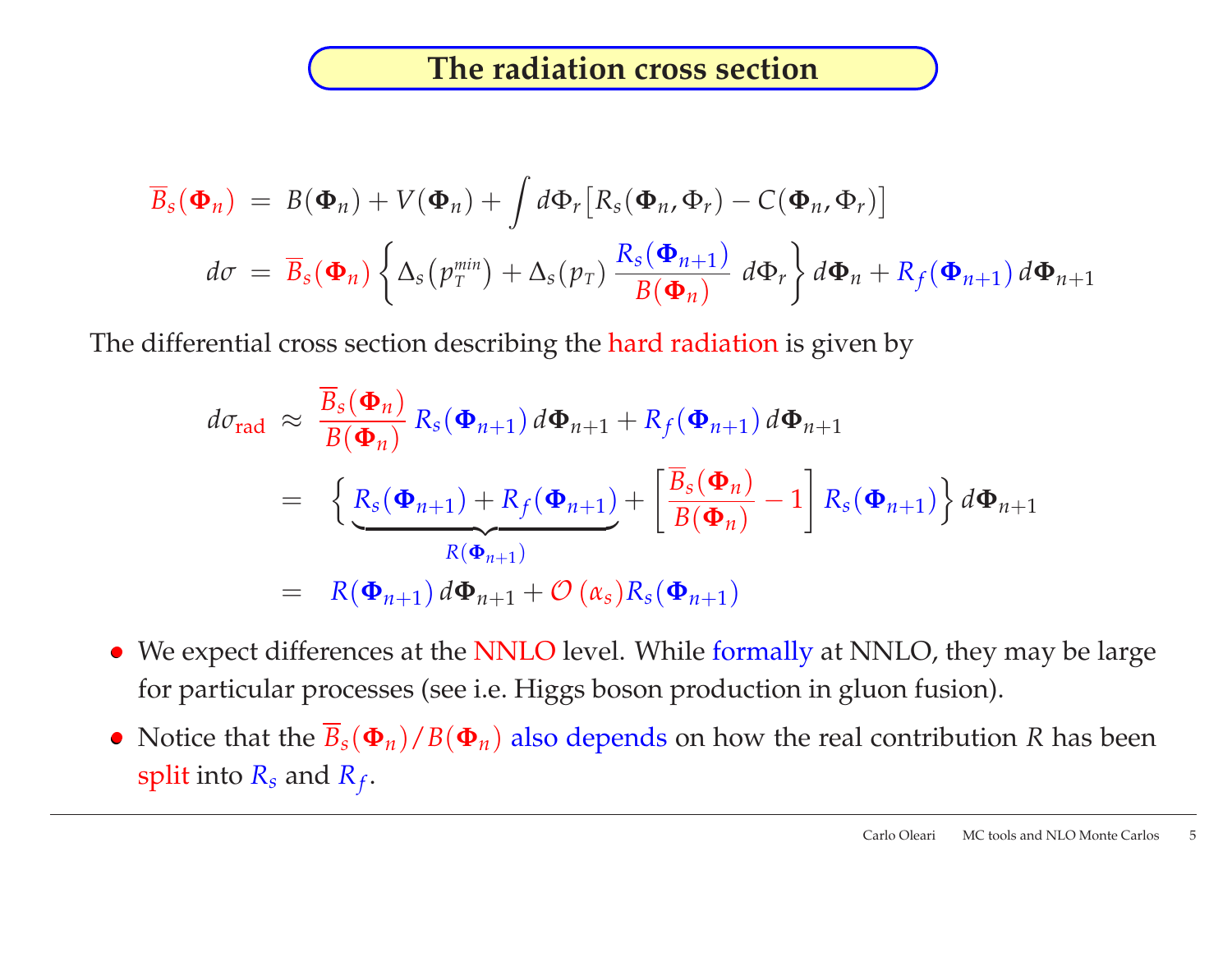### **The radiation cross section**

$$
\overline{B}_s(\Phi_n) = B(\Phi_n) + V(\Phi_n) + \int d\Phi_r \left[ R_s(\Phi_n, \Phi_r) - C(\Phi_n, \Phi_r) \right]
$$
  

$$
d\sigma = \overline{B}_s(\Phi_n) \left\{ \Delta_s(p_T^{\min}) + \Delta_s(p_T) \frac{R_s(\Phi_{n+1})}{B(\Phi_n)} d\Phi_r \right\} d\Phi_n + R_f(\Phi_{n+1}) d\Phi_{n+1}
$$

The differential cross section describing the hard radiation is <sup>g</sup>iven by

$$
d\sigma_{\text{rad}} \approx \frac{\overline{B}_{s}(\Phi_{n})}{B(\Phi_{n})} R_{s}(\Phi_{n+1}) d\Phi_{n+1} + R_{f}(\Phi_{n+1}) d\Phi_{n+1}
$$
  
= 
$$
\left\{ \underbrace{R_{s}(\Phi_{n+1}) + R_{f}(\Phi_{n+1})}_{R(\Phi_{n+1})} + \left[ \frac{\overline{B}_{s}(\Phi_{n})}{B(\Phi_{n})} - 1 \right] R_{s}(\Phi_{n+1}) \right\} d\Phi_{n+1}
$$
  
= 
$$
R(\Phi_{n+1}) d\Phi_{n+1} + \mathcal{O}(\alpha_{s}) R_{s}(\Phi_{n+1})
$$

- We expect differences at the NNLO level. While formally at NNLO, they may be large for particular processes (see i.e. Higgs boson production in <sup>g</sup>luon fusion).
- Notice that the  $B_s(\Phi_n)/B(\Phi_n)$  also depends on how the real contribution *R* has been split into  $R_s$  and  $R_f$ .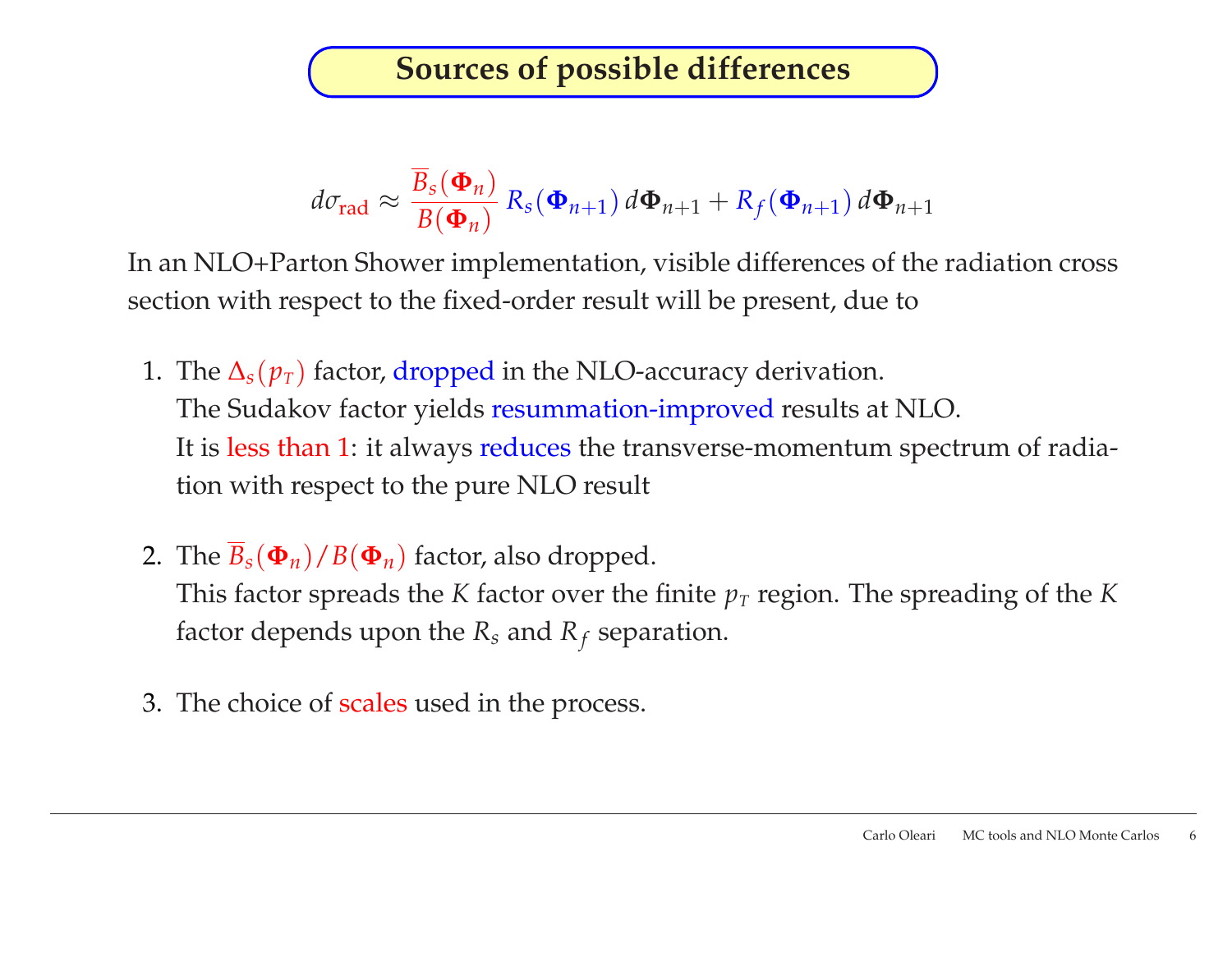**Sources of possible differences**

$$
d\sigma_{\text{rad}} \approx \frac{\overline{B}_s(\Phi_n)}{B(\Phi_n)} R_s(\Phi_{n+1}) d\Phi_{n+1} + R_f(\Phi_{n+1}) d\Phi_{n+1}
$$

 In an NLO+Parton Shower implementation, visible differences of the radiation cross section with respect to the fixed-order result will be present, due to

- 1. The<sup>∆</sup>*s*(*pT*) factor, dropped in the NLO-accuracy derivation. The Sudakov factor <sup>y</sup>ields resummation-improved results at NLO. It is less than 1: it always reduces the transverse-momentum spectrum of radiation with respec<sup>t</sup> to the pure NLO result
- 2. The  $B_s(\mathbf{\Phi}_n)/B(\mathbf{\Phi}_n)$  factor, also dropped. This factor spreads the *K* factor over the finite  $p_T$  region. The spreading of the *K* factor depends upon the  $R_s$  and  $R_f$  separation.
- 3. The choice of scales used in the process.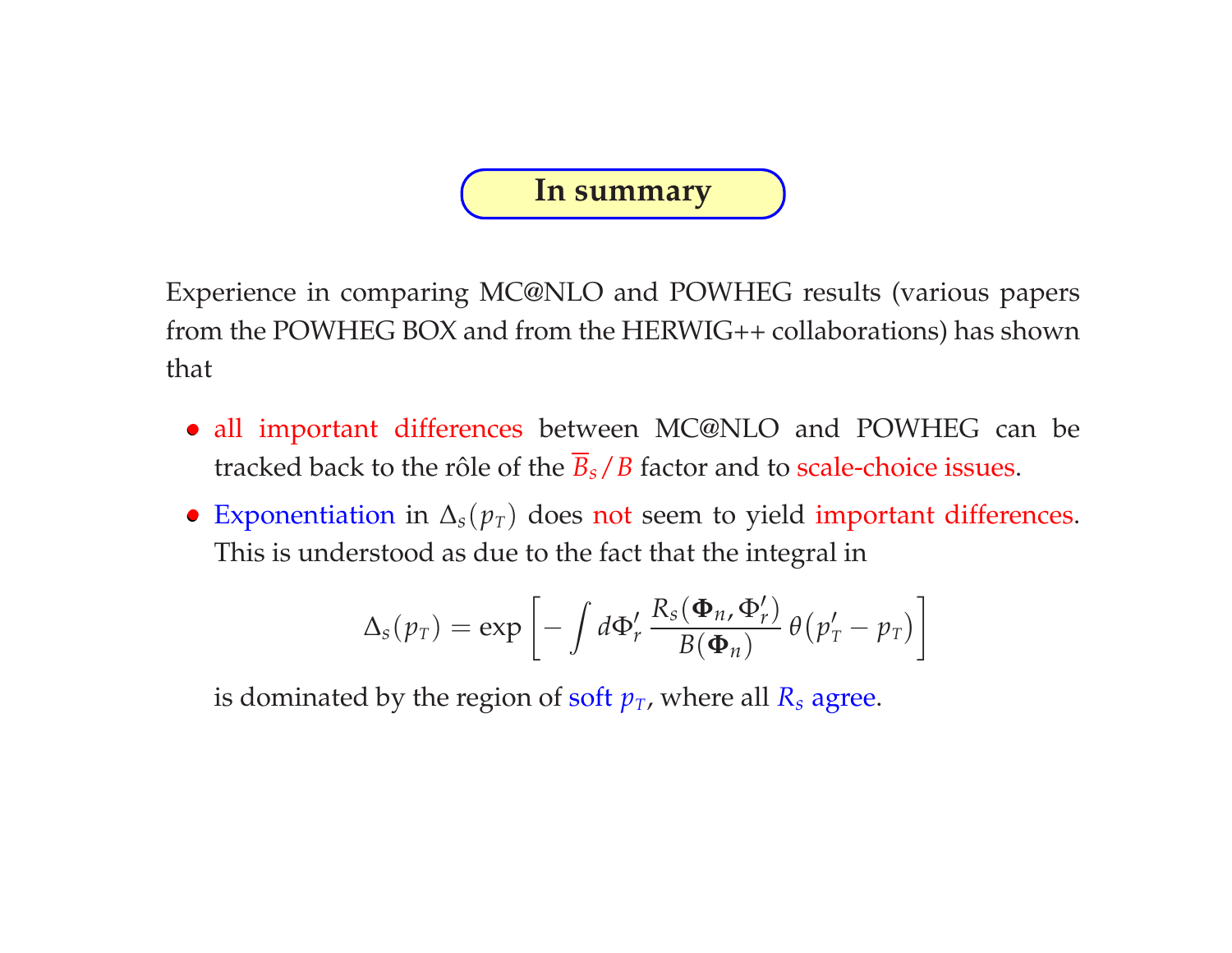#### **In summary**

Experience in comparing MC@NLO and POWHEG results (various papers from the POWHEG BOX and from the HERWIG++ collaborations) has shownthat

- all important differences between MC@NLO and POWHEG can be tracked back to the rôle of the  $B_s/B$  factor and to scale-choice issues.
- Exponentiation in <sup>∆</sup>*s*(*pT*) does not seem to <sup>y</sup>ield important differences. This is understood as due to the fact that the integral in

$$
\Delta_s(p_T) = \exp\left[-\int d\Phi'_r \, \frac{R_s(\Phi_n, \Phi'_r)}{B(\Phi_n)} \, \theta\left(p'_T - p_T\right)\right]
$$

is dominated by the region of soft  $p_T$ , where all  $R_s$  agree.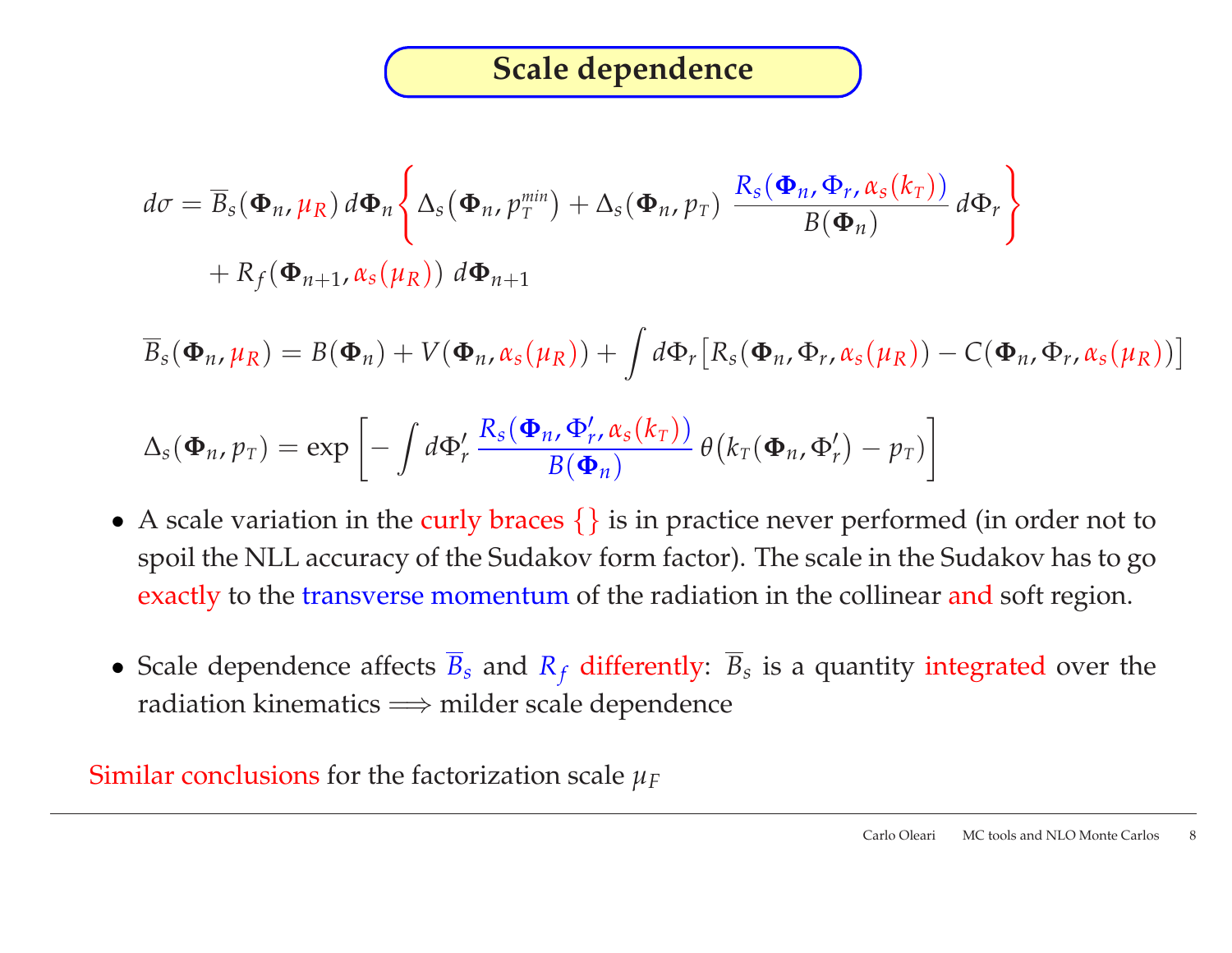$$
d\sigma = \overline{B}_s(\boldsymbol{\Phi}_n, \mu_R) d\boldsymbol{\Phi}_n \left\{ \Delta_s(\boldsymbol{\Phi}_n, p_T^{min}) + \Delta_s(\boldsymbol{\Phi}_n, p_T) \frac{R_s(\boldsymbol{\Phi}_n, \boldsymbol{\Phi}_r, \alpha_s(k_T))}{B(\boldsymbol{\Phi}_n)} d\boldsymbol{\Phi}_r \right\}
$$
  
+  $R_f(\boldsymbol{\Phi}_{n+1}, \alpha_s(\mu_R)) d\boldsymbol{\Phi}_{n+1}$ 

 $\overline{B}_s(\boldsymbol{\Phi}_n,\mu_R)=B(\boldsymbol{\Phi}_n)+V(\boldsymbol{\Phi}_n,\alpha_s(\mu_R))+\int d\Phi_r\big[R_s(\boldsymbol{\Phi}_n,\boldsymbol{\Phi}_r,\alpha_s(\mu_R))-C(\boldsymbol{\Phi}_n,\boldsymbol{\Phi}_r,\alpha_s(\mu_R))\big]$ 

$$
\Delta_{s}(\mathbf{\Phi}_{n}, p_{T}) = \exp \left[-\int d\Phi_{r}' \frac{R_{s}(\mathbf{\Phi}_{n}, \Phi_{r}', \alpha_{s}(k_{T}))}{B(\mathbf{\Phi}_{n})} \theta(k_{T}(\mathbf{\Phi}_{n}, \Phi_{r}') - p_{T})\right]
$$

- A scale variation in the curly braces  $\{\}$  is in practice never performed (in order not to spoil the NLL accuracy of the Sudakov form factor). The scale in the Sudakov has to goexactly to the transverse momentum of the radiation in the collinear <mark>and</mark> soft region.
- Scale dependence affects *<sup>B</sup><sup>s</sup>* and *<sup>R</sup><sup>f</sup>* differently: *<sup>B</sup><sup>s</sup>* is <sup>a</sup> quantity integrated over the radiation kinematics  $\Longrightarrow$  milder scale dependence

Similar conclusions for the factorization scale  $\mu_F$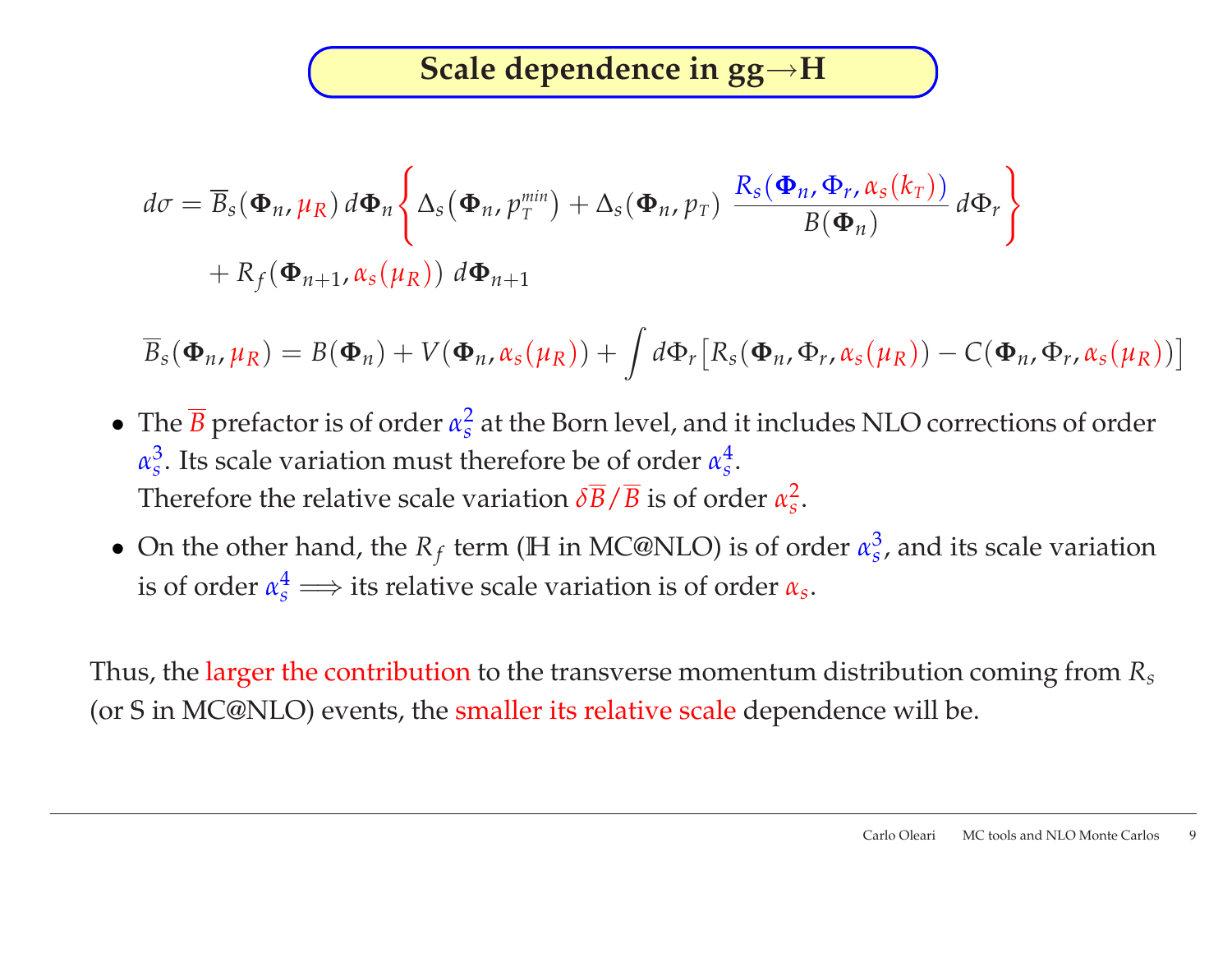**Scale dependence in gg**→**<sup>H</sup>**

$$
d\sigma = \overline{B}_s(\boldsymbol{\Phi}_n, \mu_R) d\boldsymbol{\Phi}_n \Bigg\{ \Delta_s(\boldsymbol{\Phi}_n, p_T^{min}) + \Delta_s(\boldsymbol{\Phi}_n, p_T) \frac{R_s(\boldsymbol{\Phi}_n, \boldsymbol{\Phi}_r, \alpha_s(k_T))}{B(\boldsymbol{\Phi}_n)} d\boldsymbol{\Phi}_r \Bigg\}
$$
  
+  $R_f(\boldsymbol{\Phi}_{n+1}, \alpha_s(\mu_R)) d\boldsymbol{\Phi}_{n+1}$ 

 $\overline{B}_s(\boldsymbol{\Phi}_n,\mu_R)=B(\boldsymbol{\Phi}_n)+V(\boldsymbol{\Phi}_n,\alpha_s(\mu_R))+\int d\Phi_r\big[R_s(\boldsymbol{\Phi}_n,\boldsymbol{\Phi}_r,\alpha_s(\mu_R))-C(\boldsymbol{\Phi}_n,\boldsymbol{\Phi}_r,\alpha_s(\mu_R))\big]$ 

- The  $\overline{B}$  prefactor is of order  $\alpha_s^2$  at the Born level, and it includes NLO corrections of order  $\alpha_s^3$ . Its scale variation must therefore be of order  $\alpha_s^4$ . Therefore the relative scale variation  $\delta \overline{B}/\overline{B}$  is of order  $\alpha_s^2$ .
- On the other hand, the  $R_f$  term ( $H$  in MC@NLO) is of order  $\alpha_s^3$ , and its scale variation is of order  $\alpha_s^4 \Longrightarrow$  its relative scale variation is of order  $\alpha_s$ .

Thus, the larger the contribution to the transverse momentum distribution coming from *<sup>R</sup><sup>s</sup>* (or **<sup>S</sup>** in MC@NLO) events, the smaller its relative scale dependence will be.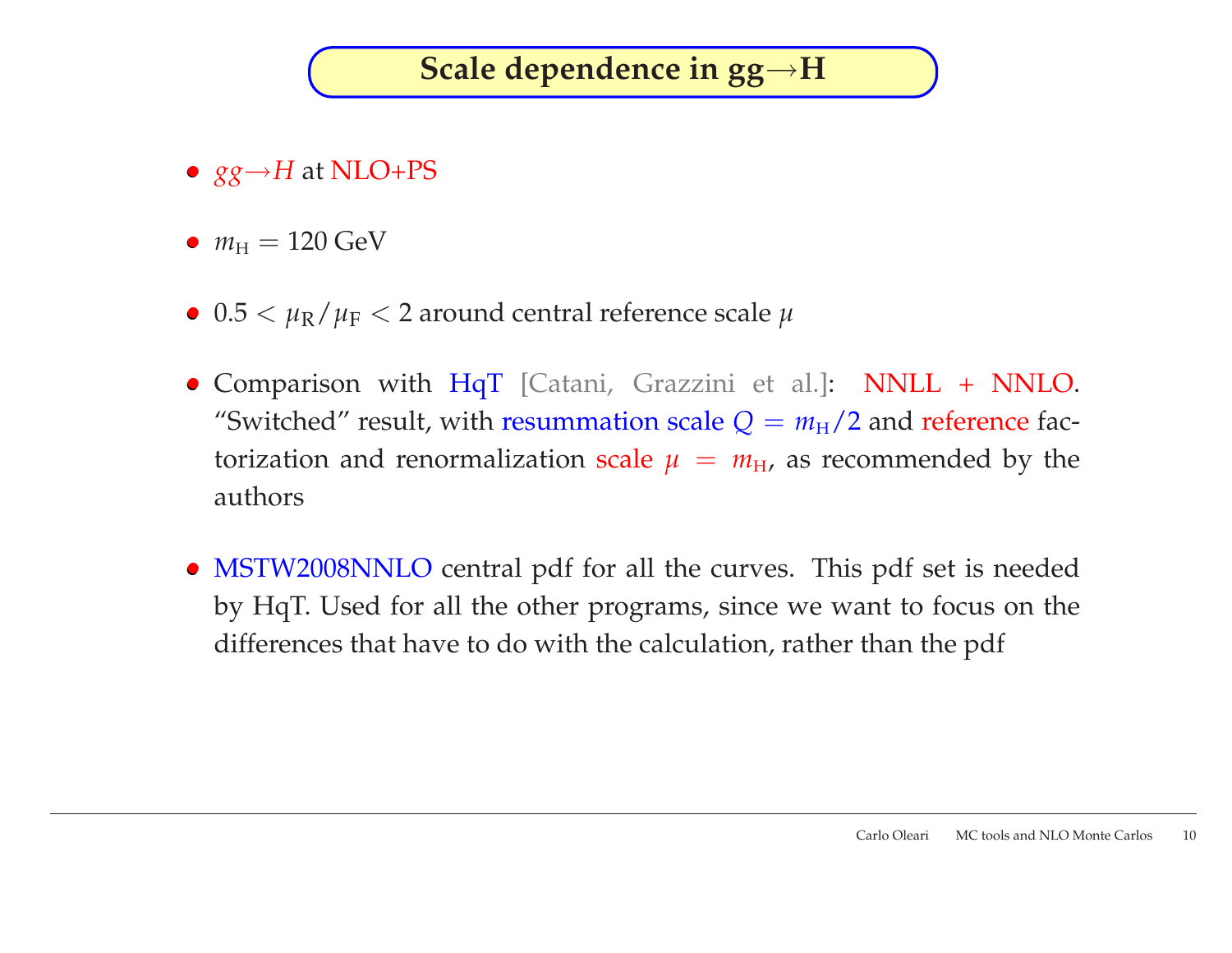### **Scale dependence in gg**→**<sup>H</sup>**

- *gg*→*<sup>H</sup>* at NLO+PS
- $m_{\text{H}} = 120 \text{ GeV}$
- 0.5  $< \mu_{\rm R}/\mu_{\rm F}$   $<$  2 around central reference scale  $\mu$
- Comparison with HqT [Catani, Grazzini et al.]: NNLL <sup>+</sup> NNLO. "Switched" result, with resummation scale  $Q = m_{\rm H}/2$  and reference factorization and renormalization scale  $\mu = m_H$ , as recommended by the authors
- MSTW2008NNLO central pdf for all the curves. This pdf set is needed by HqT. Used for all the other programs, since we want to focus on the differences that have to do with the calculation, rather than the <sup>p</sup>df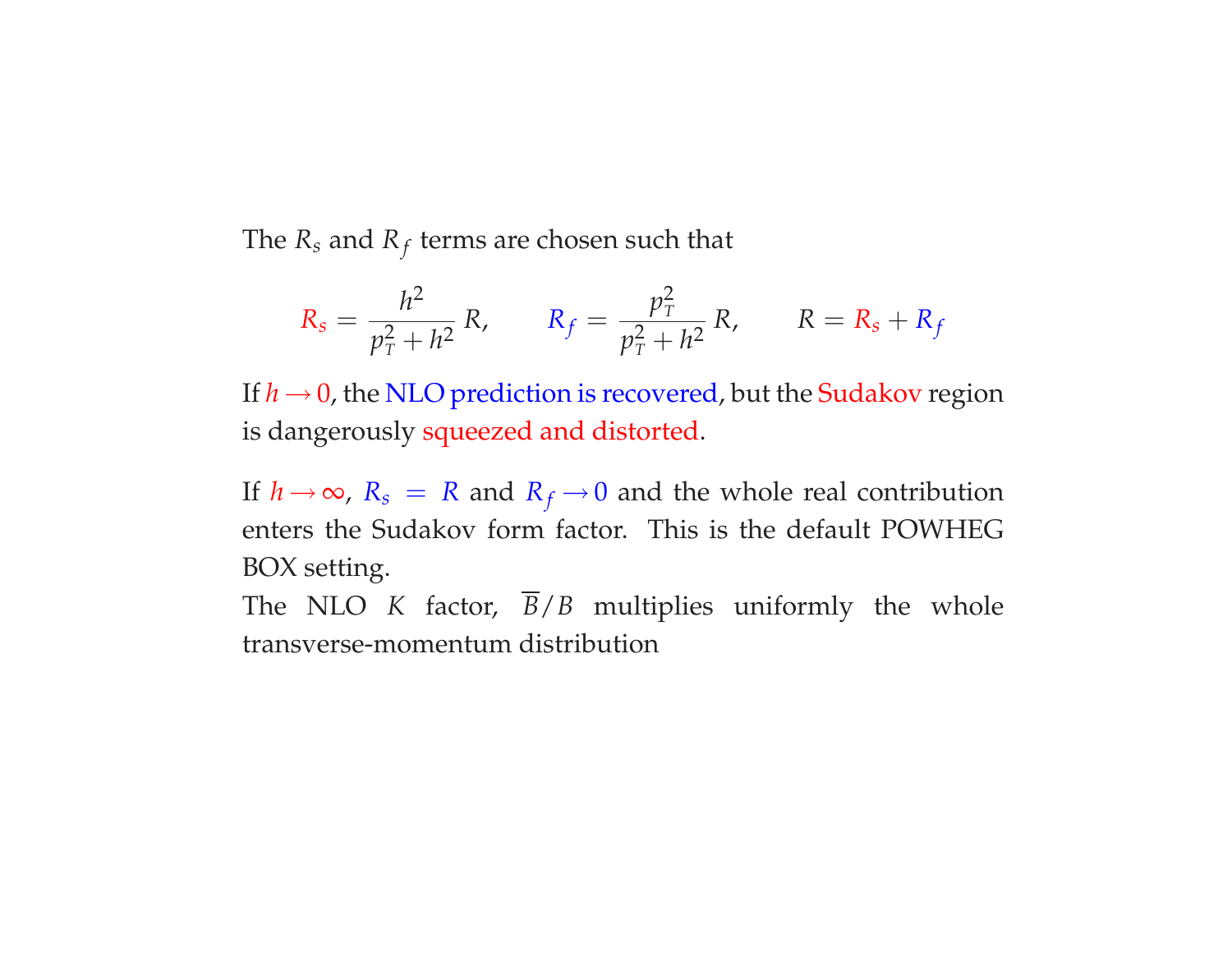The *<sup>R</sup><sup>s</sup>* and *<sup>R</sup><sup>f</sup>* terms are chosen such that

$$
R_s = \frac{h^2}{p_T^2 + h^2} R, \qquad R_f = \frac{p_T^2}{p_T^2 + h^2} R, \qquad R = R_s + R_f
$$

If *h* → 0, the NLO prediction is recovered, but the Sudakov region is dangerously squeeze<sup>d</sup> and distorted.

If  $h \to \infty$ ,  $R_s = R$  and  $R_f \to 0$  and the whole real contribution<br>option the Sudeley form factor. This is the default POWUEC enters the Sudakov form factor. This is the default POWHEGBOX setting.

The NLO *<sup>K</sup>* factor, *<sup>B</sup>*/*<sup>B</sup>* multiplies uniformly the whole transverse-momentum distribution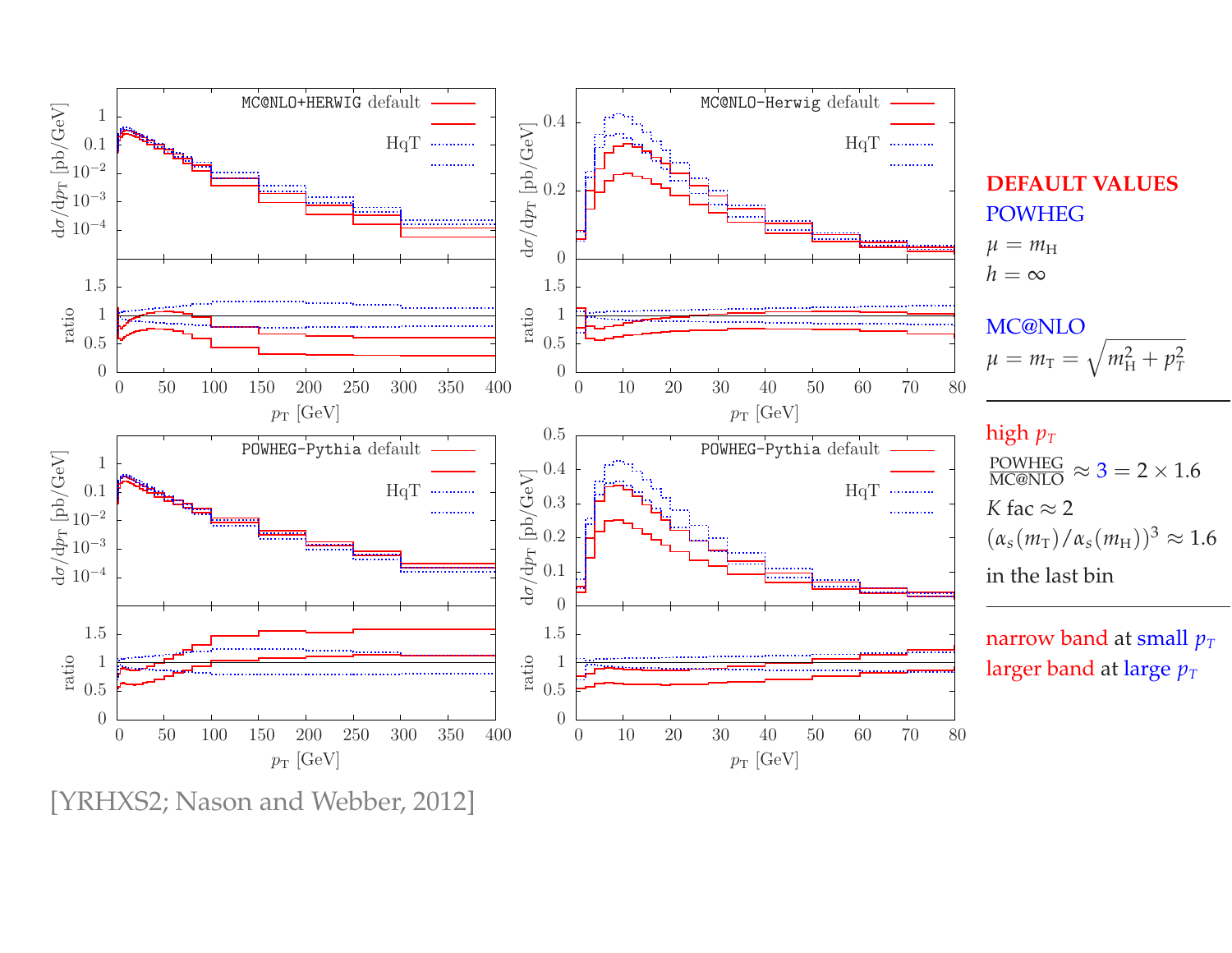

#### **DEFAULT VALUES**POWHEG $\mu = m_{\rm H}$

 $h = \infty$ 

### MC@NLO $\mu = m_{\rm T} = \sqrt{m_{\rm H}^2 + p_{\rm T}^2}$

#### high  $p_{\scriptscriptstyle T}$

POWHEG $\frac{\text{POWHEG}}{\text{MC@NLO}} \approx 3 = 2 \times 1.6$ *K* fac  $\approx$  2  $(\alpha_s(m_{\rm T})/\alpha_s(m_{\rm H}))^3 \approx 1.6$ in the last bin

narrow band at small  $p_T$ larger band at large *<sup>p</sup><sup>T</sup>*

[YRHXS2; Nason and Webber, 2012]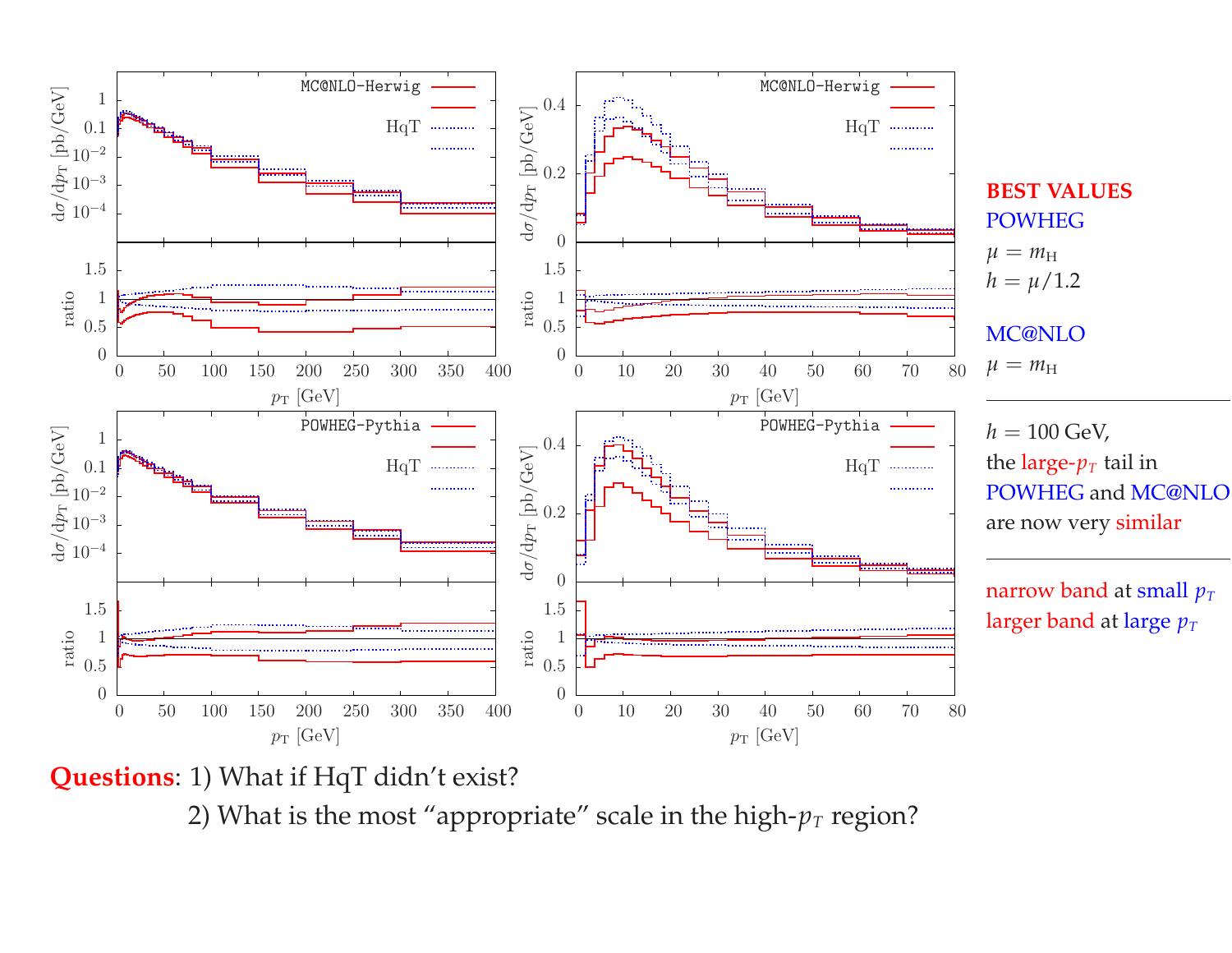

**Questions**: 1) What if HqT didn't exist?

2) What is the most "appropriate" scale in the high- $p_{\scriptscriptstyle T}$  region?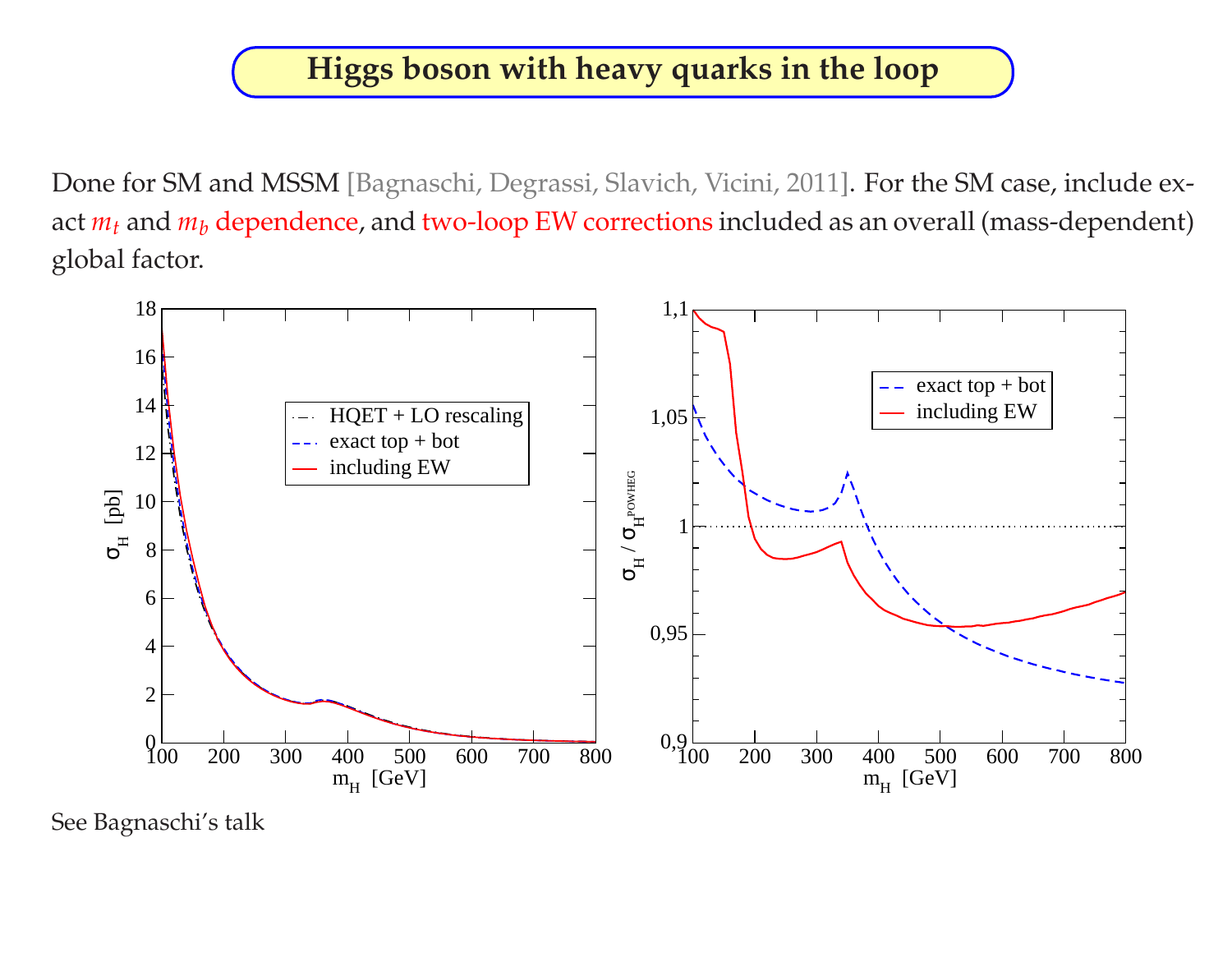### **Higgs boson with heavy quarks in the loop**

Done for SM and MSSM [Bagnaschi, Degrassi, Slavich, Vicini, 2011]. For the SM case, include exact*mt* and*mb* dependence, and two-loop EW corrections included as an overall (mass-dependent) <sup>g</sup>lobal factor.



See Bagnaschi's talk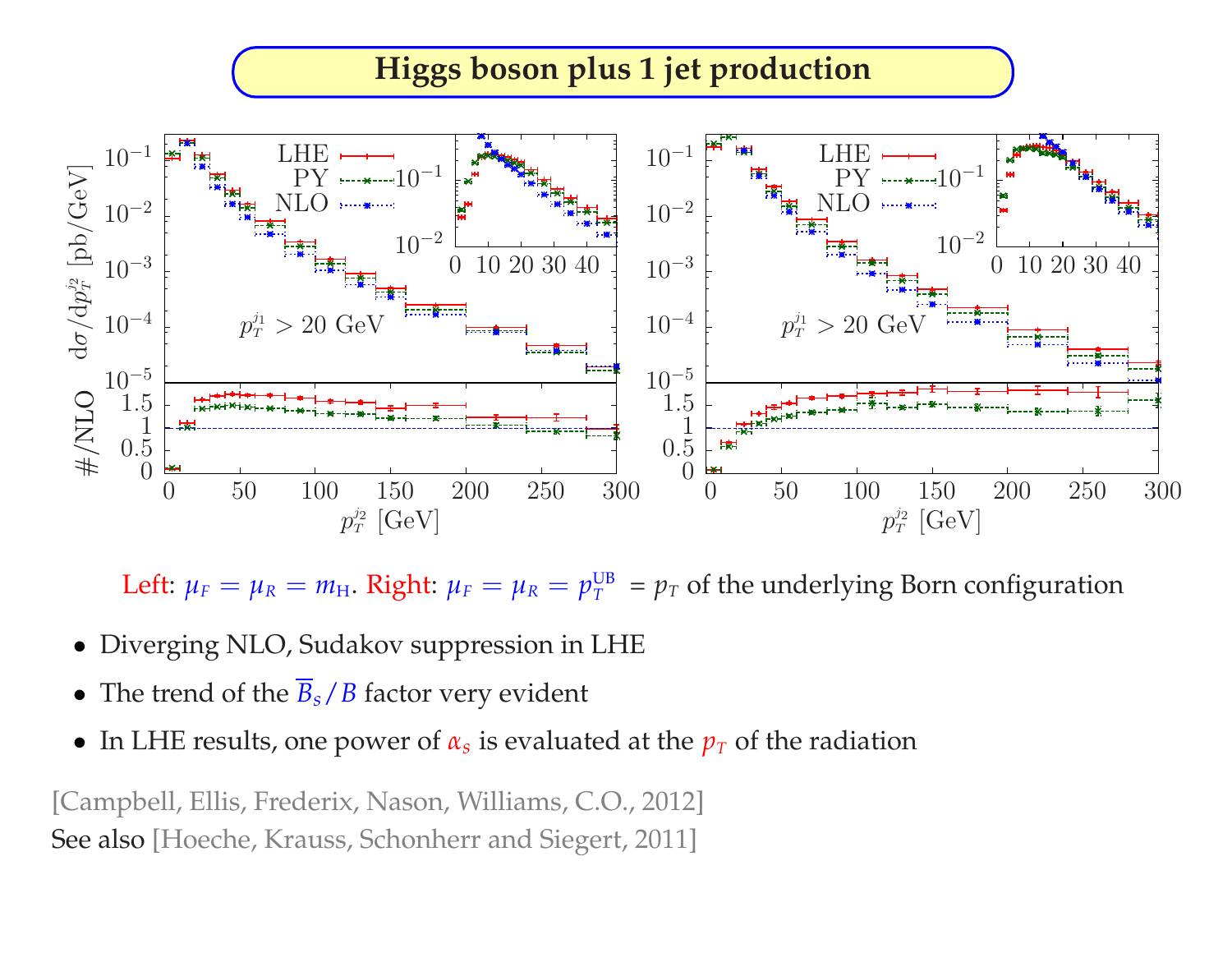### **Higgs boson <sup>p</sup>lus <sup>1</sup> jet production**



Left:  $\mu_F = \mu_R = m_H$ . Right:  $\mu_F = \mu_R = p_T^{\text{UB}} = p_T$  of the underlying Born configuration

- •Diverging NLO, Sudakov suppression in LHE
- The trend of the *Bs*/*B* factor very evident
- In LHE results, one power of  $\alpha_s$  is evaluated at the  $p_T$  of the radiation

[Campbell, Ellis, Frederix, Nason, Williams, C.O., 2012] See also [Hoeche, Krauss, Schonherr and Siegert, 2011]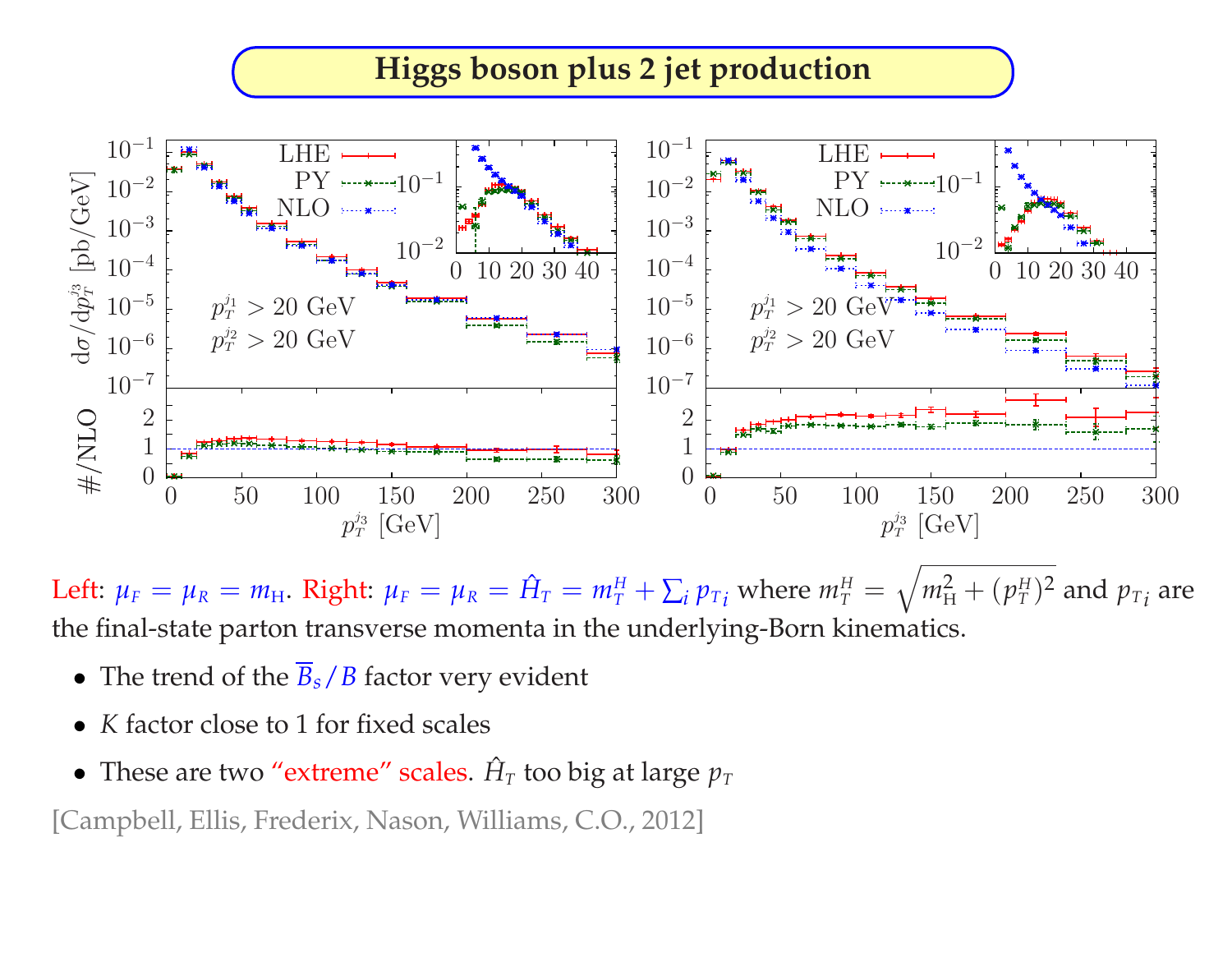### **Higgs boson <sup>p</sup>lus <sup>2</sup> jet production**



Left:  $\mu_F=\mu_R=m_H$ . Right:  $\mu_F=\mu_R=\hat{H}_T=m_T^H$  the final-state parton transverse momenta in the underlying-Born kinematics.  $T^H_T+\sum_i p_{T}^{}_i$  where  $m^H_T$  $\frac{1}{T}$  $\sqrt{}$  $m_{\rm H}^2$  $_{\rm H}^2 + (p_T^H)$  *T*) <sup>2</sup> and  $p_{T_i}$  are

- The trend of the *Bs*/*B* factor very evident
- •*K* factor close to <sup>1</sup> for fixed scales
- These are two "extreme" scales.  $\hat{H}_T$  too big at large  $p_T$

[Campbell, Ellis, Frederix, Nason, Williams, C.O., 2012]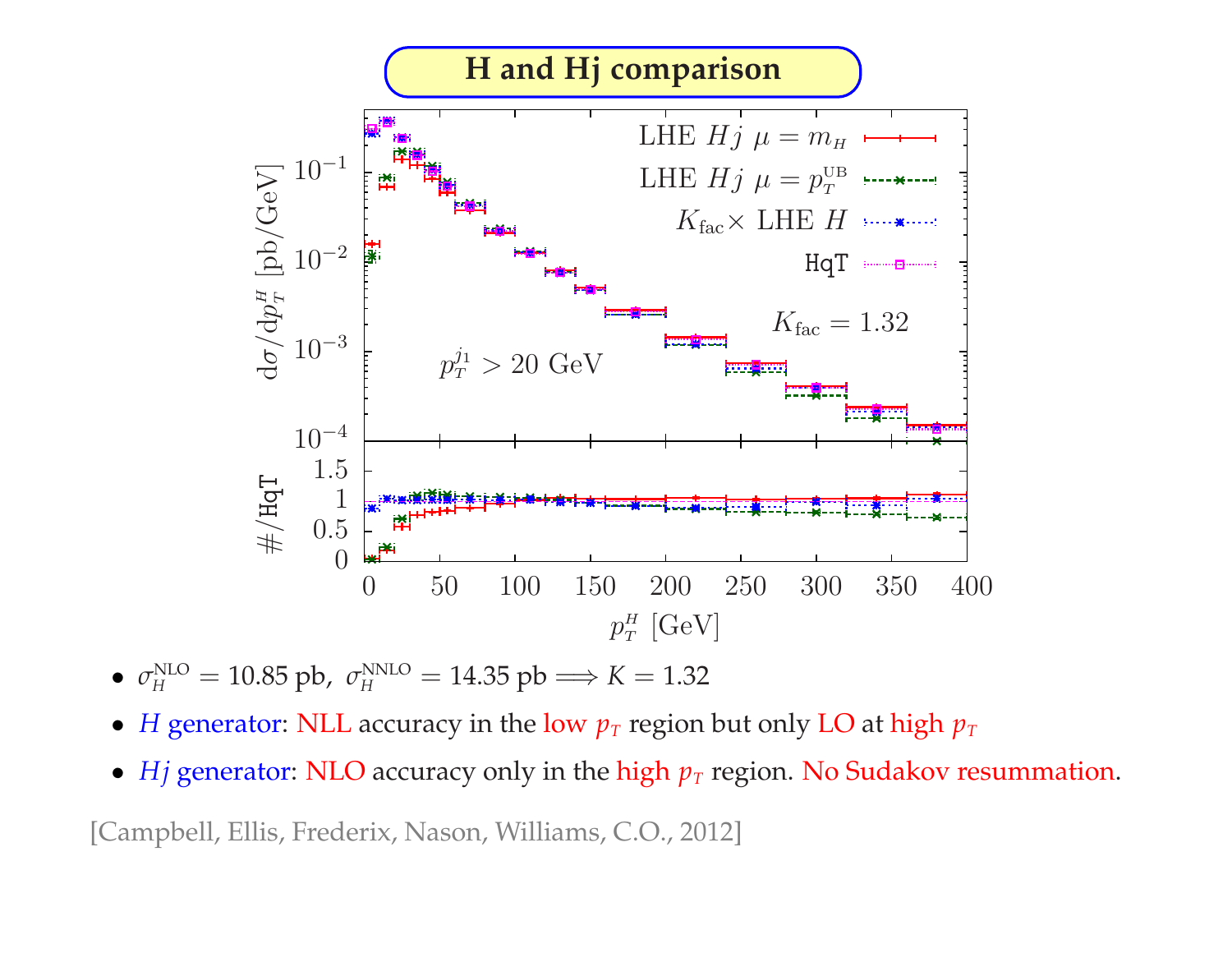

•  $\sigma_H^{\text{NLO}} = 10.85 \text{ pb}, \ \sigma_H^{\text{NNO}} = 14.35 \text{ pb} \Longrightarrow K = 1.32$ 

- *H* generator: NLL accuracy in the low  $p_T$  region but only LO at high  $p_T$
- *Hj* generator: NLO accuracy only in the high  $p<sub>T</sub>$  region. No Sudakov resummation.

[Campbell, Ellis, Frederix, Nason, Williams, C.O., 2012]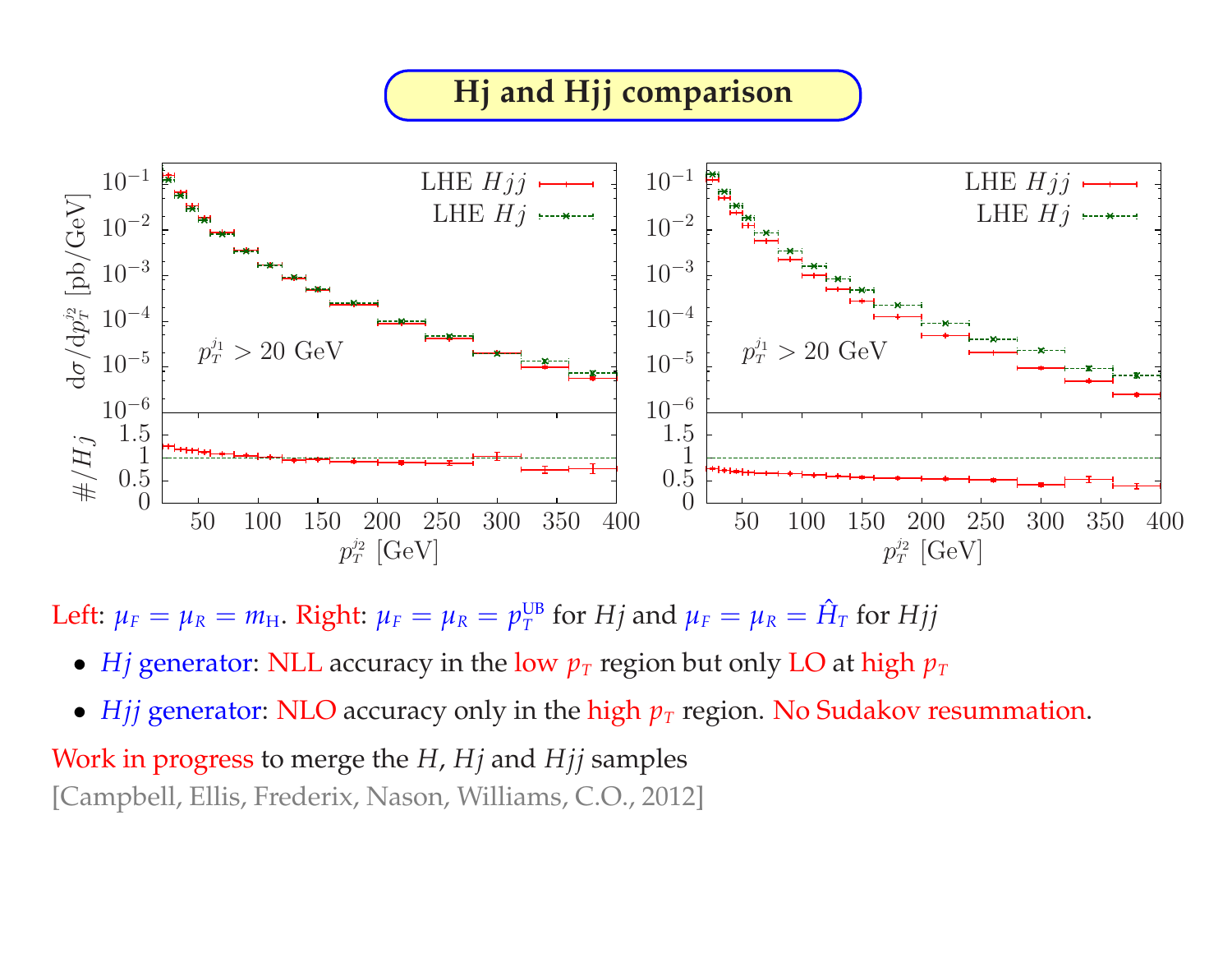### **Hj and Hjj comparison**



Left:  $\mu_F = \mu_R = m_H$ . Right:  $\mu_F = \mu_R = p_T^{\text{UB}}$  for *Hj* and  $\mu_F = \mu_R = \hat{H}_T$  for *Hjj* 

- *Hj* generator: NLL accuracy in the low  $p_T$  region but only LO at high  $p_T$
- *Hjj* generator: NLO accuracy only in the high  $p<sub>T</sub>$  region. No Sudakov resummation.

Work in progress to merge the *<sup>H</sup>*, *Hj* and *Hjj* samples [Campbell, Ellis, Frederix, Nason, Williams, C.O., 2012]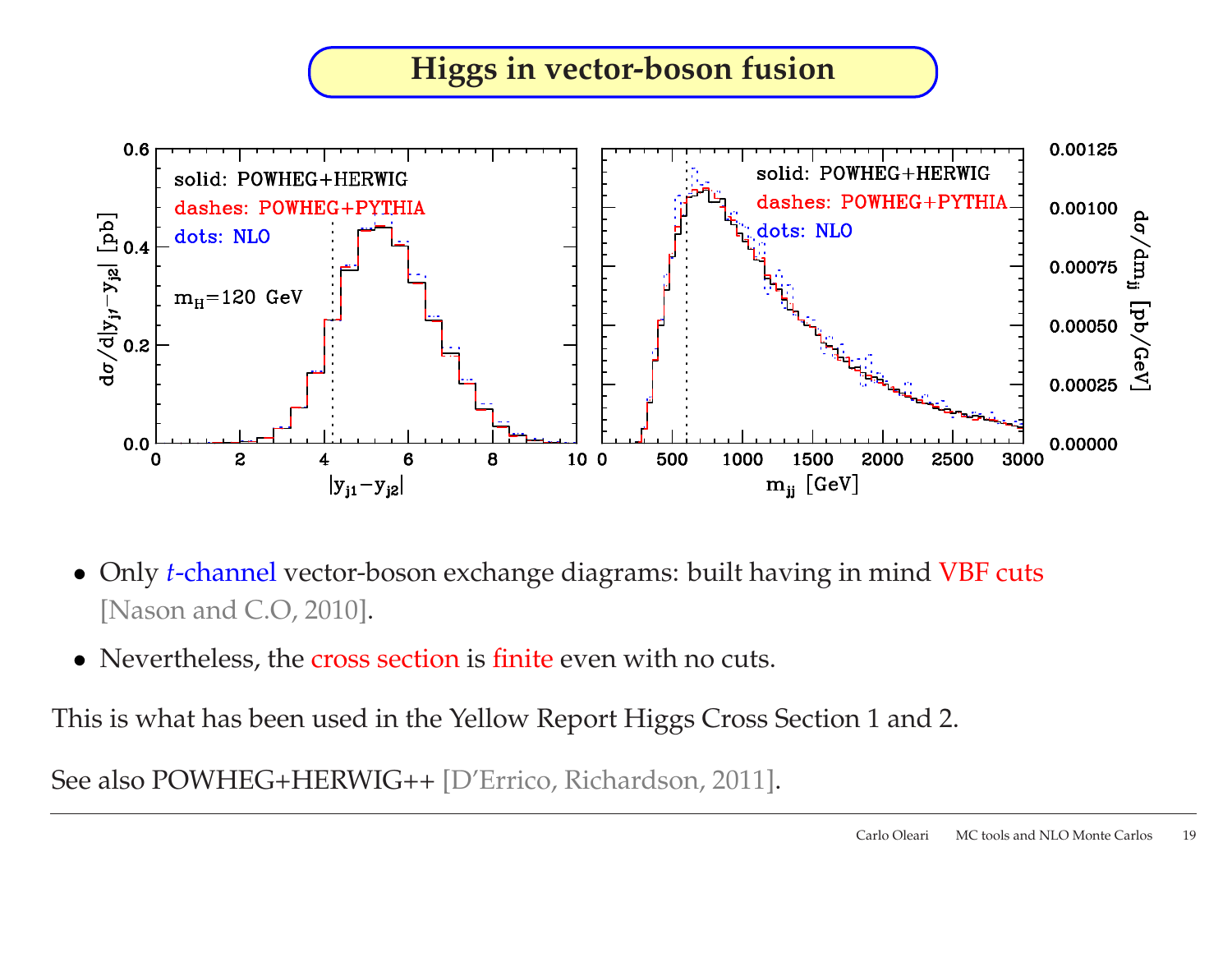#### **Higgs in vector-boson fusion**



- Only *<sup>t</sup>*-channel vector-boson exchange diagrams: built having in mind VBF cuts [Nason and C.O, 2010].
- Nevertheless, the cross section is finite even with no cuts.

This is what has been used in the Yellow Report Higgs Cross Section <sup>1</sup> and 2.

See also POWHEG+HERWIG++ [D'Errico, Richardson, 2011].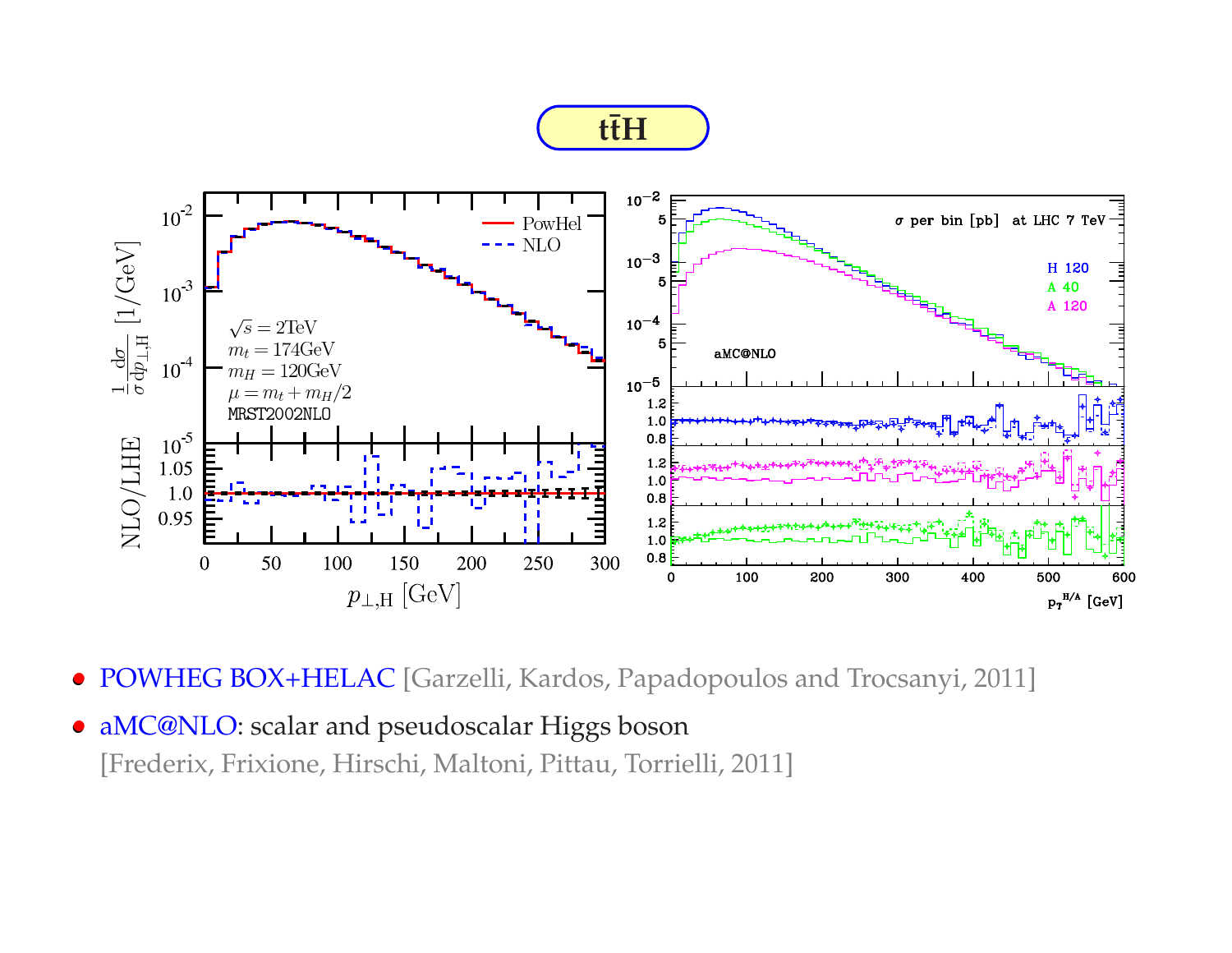**t¯tH**



- POWHEG BOX+HELAC [Garzelli, Kardos, Papadopoulos and Trocsanyi, 2011]
- aMC@NLO: scalar and pseudoscalar Higgs boson[Frederix, Frixione, Hirschi, Maltoni, Pittau, Torrielli, 2011]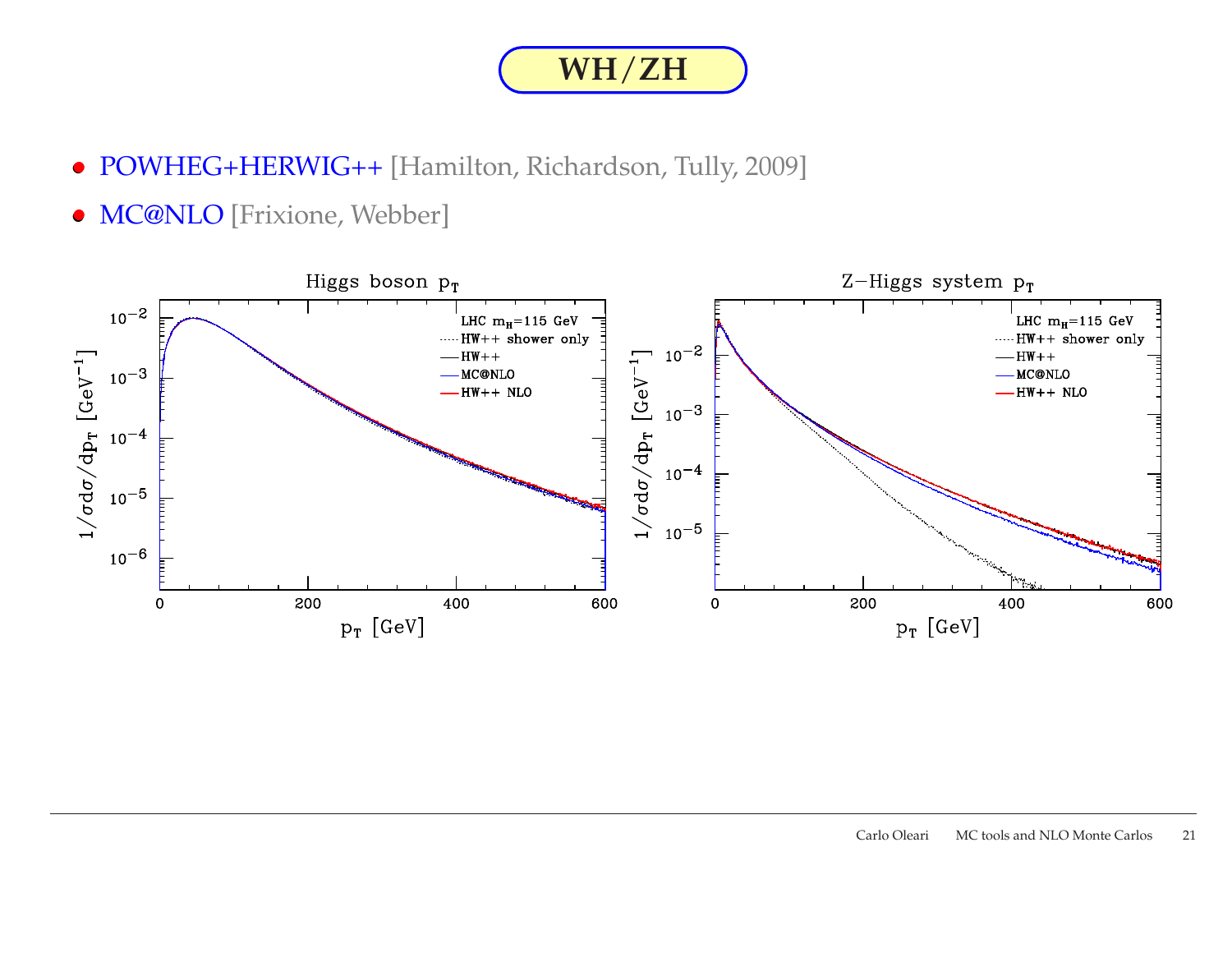**WH**/**ZH**

- POWHEG+HERWIG++ [Hamilton, Richardson, Tully, 2009]
- MC@NLO [Frixione, Webber]

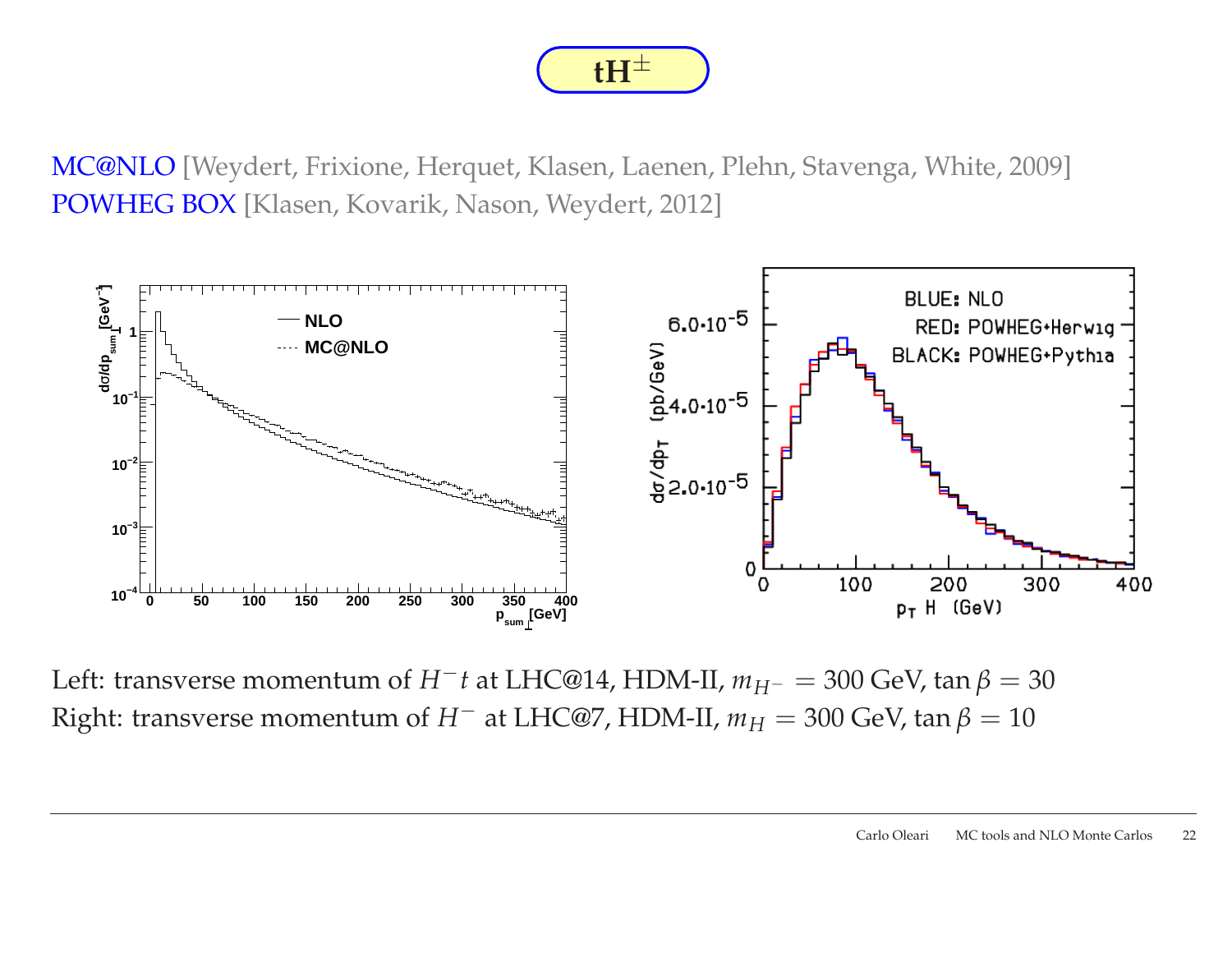

MC@NLO [Weydert, Frixione, Herquet, Klasen, Laenen, Plehn, Stavenga, White, 2009] POWHEG BOX [Klasen, Kovarik, Nason, Weydert, 2012]



Left: transverse momentum of *<sup>H</sup>*−*<sup>t</sup>* at LHC@14, HDM-II, *<sup>m</sup>H*<sup>−</sup> <sup>=</sup> <sup>300</sup> GeV, tan *<sup>β</sup>* <sup>=</sup> <sup>30</sup> Right: transverse momentum of  $H^-$  at LHC@7, HDM-II,  $m_H=300$  GeV, tan  $\beta=10$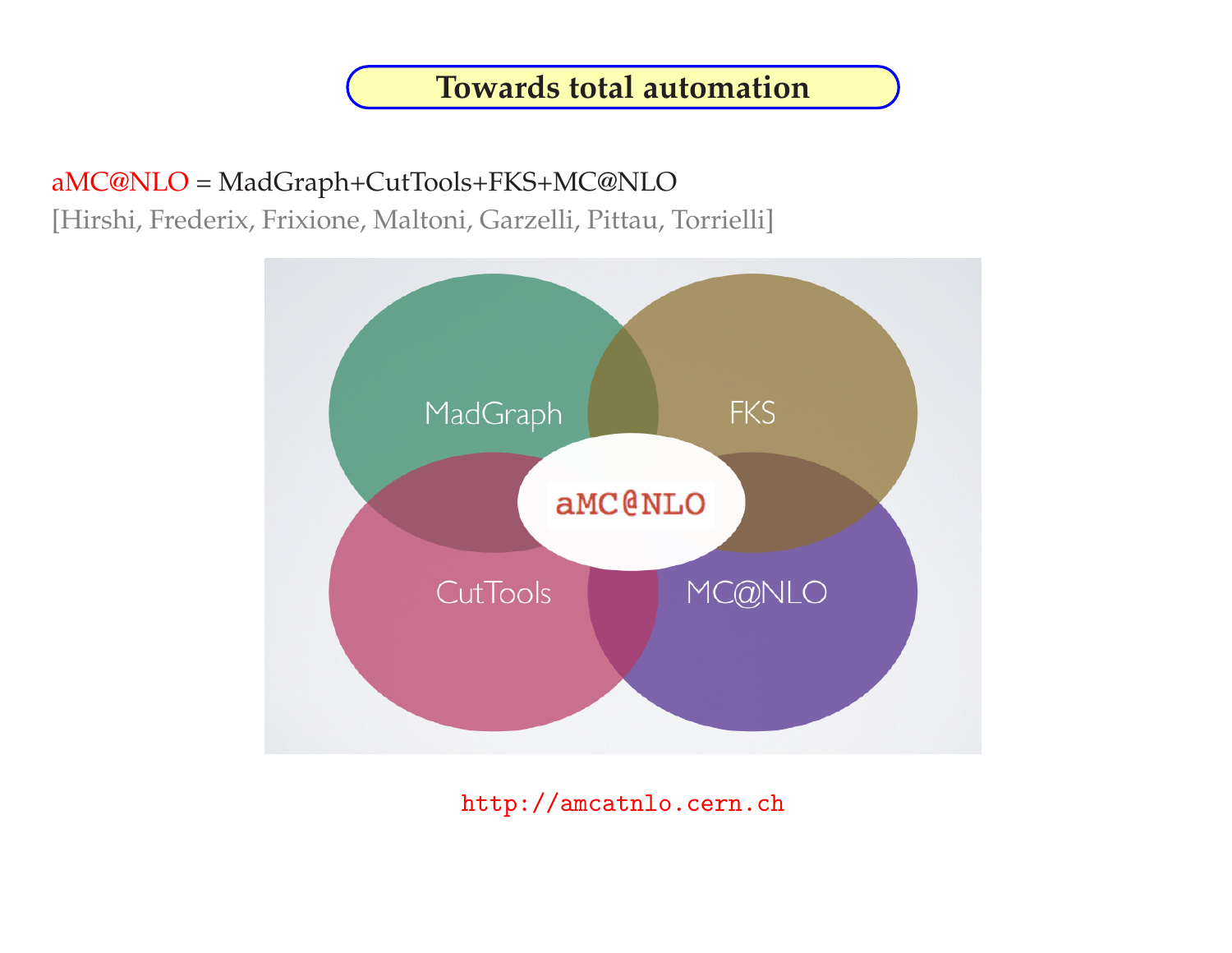### **Towards total automation**

## aMC@NLO <sup>=</sup> MadGraph+CutTools+FKS+MC@NLO

[Hirshi, Frederix, Frixione, Maltoni, Garzelli, Pittau, Torrielli]



http://amcatnlo.cern.ch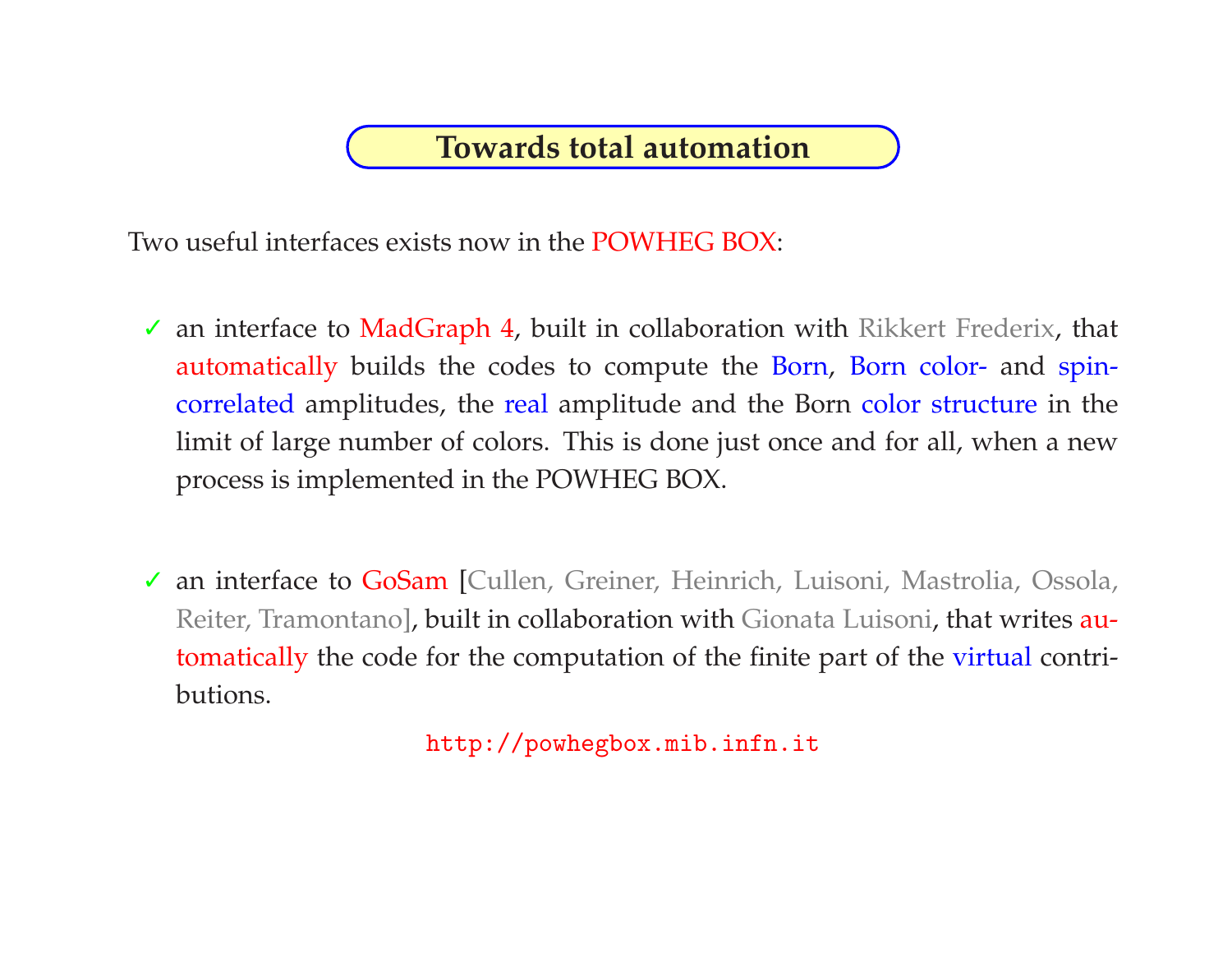### **Towards total automation**

Two useful interfaces exists now in the POWHEG BOX:

- ✓ an interface to MadGraph 4, built in collaboration with Rikkert Frederix, that automatically builds the codes to compute the <mark>Born, Born color-</mark> and spincorrelated amplitudes, the real amplitude and the Born color structure in the limit of large number of colors. This is done just once and for all, when <sup>a</sup> newprocess is implemented in the POWHEG BOX.
- ✓ an interface to GoSam [Cullen, Greiner, Heinrich, Luisoni, Mastrolia, Ossola, Reiter, Tramontano]<mark>, built in collaboration with</mark> Gionata Luisoni, <mark>that writes au-</mark> tomatically the code for the computation of the finite par<sup>t</sup> of the virtual contributions.

http://powhegbox.mib.infn.it